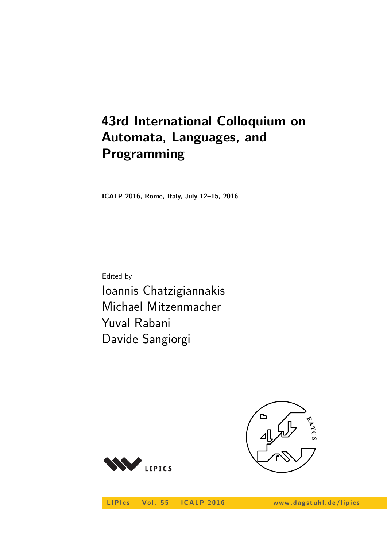# **43rd International Colloquium on Automata, Languages, and Programming**

**ICALP 2016, Rome, Italy, July 12–15, 2016**

Edited by Ioannis Chatzigiannakis Michael Mitzenmacher Yuval Rabani Davide Sangiorgi





LIPIcs - Vol. 55 - ICALP 2016 www.dagstuhl.de/lipics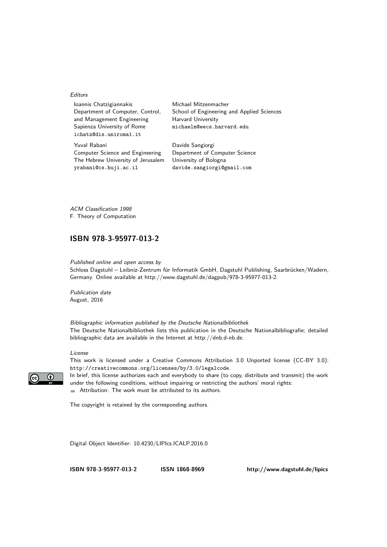#### Editors

| Ioannis Chatzigiannakis            | Michael Mitzenmacher                       |
|------------------------------------|--------------------------------------------|
| Department of Computer, Control,   | School of Engineering and Applied Sciences |
| and Management Engineering         | Harvard University                         |
| Sapienza University of Rome        | michaelm@eecs.harvard.edu                  |
| ichatz@dis.uniroma1.it             |                                            |
| Yuval Rabani                       | Davide Sangiorgi                           |
| Computer Science and Engineering   | Department of Computer Science             |
| The Hebrew University of Jerusalem | University of Bologna                      |
| yrabani@cs.huji.ac.il              | davide.sangiorgi@gmail.com                 |

ACM Classification 1998 F. Theory of Computation

### **[ISBN 978-3-95977-013-2](http://www.dagstuhl.de/dagpub/978-3-95977-013-2)**

Published online and open access by Schloss Dagstuhl – Leibniz-Zentrum für Informatik GmbH, Dagstuhl Publishing, Saarbrücken/Wadern, Germany. Online available at [http://www.dagstuhl.de/dagpub/978-3-95977-013-2.](http://www.dagstuhl.de/dagpub/978-3-95977-013-2)

Publication date August, 2016

Bibliographic information published by the Deutsche Nationalbibliothek The Deutsche Nationalbibliothek lists this publication in the Deutsche Nationalbibliografie; detailed bibliographic data are available in the Internet at [http://dnb.d-nb.de.](http://dnb.d-nb.de)

#### License

This work is licensed under a Creative Commons Attribution 3.0 Unported license (CC-BY 3.0): http://creativecommons.org/licenses/by/3.0/legalcode.

In brief, this license authorizes each and everybody to share (to copy, distribute and transmit) the work under the following conditions, without impairing or restricting the authors' moral rights: Attribution: The work must be attributed to its authors.

The copyright is retained by the corresponding authors.

Digital Object Identifier: [10.4230/LIPIcs.ICALP.2016.0](http://dx.doi.org/10.4230/LIPIcs.ICALP.2016.0)

**[ISBN 978-3-95977-013-2](http://www.dagstuhl.de/dagpub/978-3-95977-013-2) [ISSN 1868-8969](http://drops.dagstuhl.de/lipics)<http://www.dagstuhl.de/lipics>**

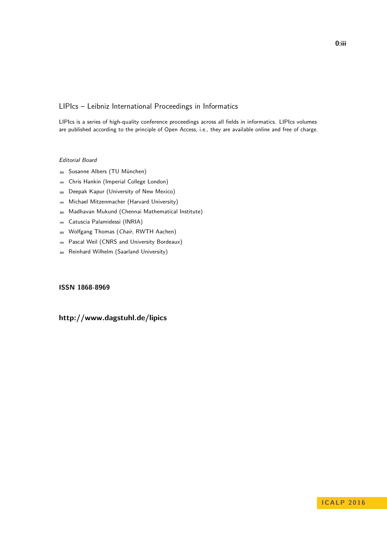## LIPIcs – Leibniz International Proceedings in Informatics

LIPIcs is a series of high-quality conference proceedings across all fields in informatics. LIPIcs volumes are published according to the principle of Open Access, i.e., they are available online and free of charge.

#### Editorial Board

- Susanne Albers (TU München)
- Chris Hankin (Imperial College London)  $\overline{\phantom{a}}$
- Deepak Kapur (University of New Mexico)  $\blacksquare$
- Michael Mitzenmacher (Harvard University)  $\equiv$
- Madhavan Mukund (Chennai Mathematical Institute)  $\sim$
- Catuscia Palamidessi (INRIA)  $\blacksquare$
- Wolfgang Thomas (Chair, RWTH Aachen)  $\blacksquare$
- Pascal Weil (CNRS and University Bordeaux)  $\blacksquare$
- Reinhard Wilhelm (Saarland University)  $\sim$

### **[ISSN 1868-8969](http://www.dagstuhl.de/dagpub/1868-8969)**

# **<http://www.dagstuhl.de/lipics>**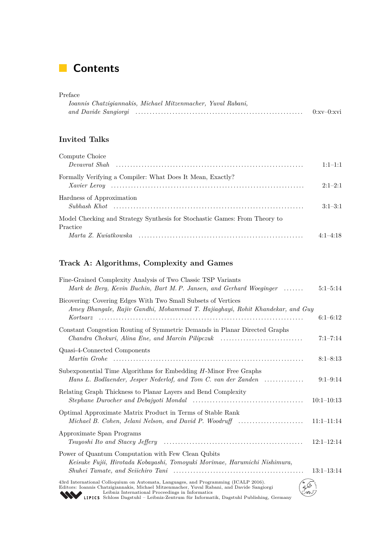# **Contents**

#### Preface

| Ioannis Chatzigiannakis, Michael Mitzenmacher, Yuval Rabani,                                                                                                                                                                   |              |
|--------------------------------------------------------------------------------------------------------------------------------------------------------------------------------------------------------------------------------|--------------|
| and Davide Sangiorgi (and intermediately contained and David Sangiorgi (and intermediately contained and international containing and international containing and international containing and international containing and i | $0:xx=0:xvi$ |

## **Invited Talks**

| Compute Choice                                                             |              |
|----------------------------------------------------------------------------|--------------|
|                                                                            | $1:1-1:1$    |
| Formally Verifying a Compiler: What Does It Mean, Exactly?                 |              |
|                                                                            | $2.1 - 2.1$  |
| Hardness of Approximation                                                  |              |
|                                                                            | $3:1-3:1$    |
| Model Checking and Strategy Synthesis for Stochastic Games: From Theory to |              |
| Practice                                                                   |              |
|                                                                            | $4.1 - 4.18$ |

# **Track A: Algorithms, Complexity and Games**

| Fine-Grained Complexity Analysis of Two Classic TSP Variants<br>Mark de Berg, Kevin Buchin, Bart M.P. Jansen, and Gerhard Woeginger                                                                                                                                                                                             | $5:1-5:14$   |
|---------------------------------------------------------------------------------------------------------------------------------------------------------------------------------------------------------------------------------------------------------------------------------------------------------------------------------|--------------|
| Bicovering: Covering Edges With Two Small Subsets of Vertices<br>Amey Bhangale, Rajiv Gandhi, Mohammad T. Hajiaghayi, Rohit Khandekar, and Guy                                                                                                                                                                                  | $6:1 - 6:12$ |
| Constant Congestion Routing of Symmetric Demands in Planar Directed Graphs<br>Chandra Chekuri, Alina Ene, and Marcin Pilipczuk                                                                                                                                                                                                  | $7:1 - 7:14$ |
| Quasi-4-Connected Components                                                                                                                                                                                                                                                                                                    | $8:1 - 8:13$ |
| Subexponential Time Algorithms for Embedding $H$ -Minor Free Graphs<br>Hans L. Bodlaender, Jesper Nederlof, and Tom C. van der Zanden                                                                                                                                                                                           | $9:1-9:14$   |
| Relating Graph Thickness to Planar Layers and Bend Complexity                                                                                                                                                                                                                                                                   | $10:1-10:13$ |
| Optimal Approximate Matrix Product in Terms of Stable Rank<br>Michael B. Cohen, Jelani Nelson, and David P. Woodruff                                                                                                                                                                                                            | $11:1-11:14$ |
| Approximate Span Programs                                                                                                                                                                                                                                                                                                       | $12:1-12:14$ |
| Power of Quantum Computation with Few Clean Qubits<br>Keisuke Fujii, Hirotada Kobayashi, Tomoyuki Morimae, Harumichi Nishimura,                                                                                                                                                                                                 | $13:1-13:14$ |
| 43rd International Colloquium on Automata, Languages, and Programming (ICALP 2016).<br>Editors: Ioannis Chatzigiannakis, Michael Mitzenmacher, Yuval Rabani, and Davide Sangiorgi<br>Leibniz International Proceedings in Informatics<br>LIPICS Schloss Dagstuhl - Leibniz-Zentrum für Informatik, Dagstuhl Publishing, Germany |              |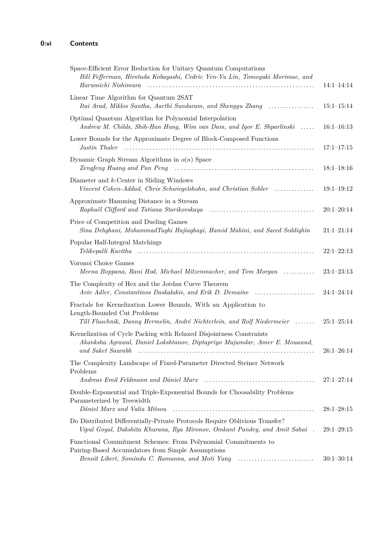| Space-Efficient Error Reduction for Unitary Quantum Computations<br>Bill Fefferman, Hirotada Kobayashi, Cedric Yen-Yu Lin, Tomoyuki Morimae, and<br>Harumichi Nishimura           | $14:1 - 14:14$ |
|-----------------------------------------------------------------------------------------------------------------------------------------------------------------------------------|----------------|
| Linear Time Algorithm for Quantum 2SAT<br>Itai Arad, Miklos Santha, Aarthi Sundaram, and Shengyu Zhang                                                                            | $15:1 - 15:14$ |
| Optimal Quantum Algorithm for Polynomial Interpolation<br>Andrew M. Childs, Shih-Han Hung, Wim van Dam, and Igor E. Shparlinski                                                   | $16:1 - 16:13$ |
| Lower Bounds for the Approximate Degree of Block-Composed Functions                                                                                                               | $17:1 - 17:15$ |
| Dynamic Graph Stream Algorithms in $o(n)$ Space                                                                                                                                   | $18:1-18:16$   |
| Diameter and $k$ -Center in Sliding Windows<br>Vincent Cohen-Addad, Chris Schwiegelshohn, and Christian Sohler                                                                    | $19:1-19:12$   |
| Approximate Hamming Distance in a Stream<br>Raphaël Clifford and Tatiana Starikovskaya                                                                                            | $20:1 - 20:14$ |
| Price of Competition and Dueling Games<br>Sina Dehghani, MohammadTaghi Hajiaghayi, Hamid Mahini, and Saeed Seddighin                                                              | $21:1 - 21:14$ |
| Popular Half-Integral Matchings                                                                                                                                                   | $22:1-22:13$   |
| Voronoi Choice Games<br>Meena Boppana, Rani Hod, Michael Mitzenmacher, and Tom Morgan                                                                                             | $23:1-23:13$   |
| The Complexity of Hex and the Jordan Curve Theorem<br>Aviv Adler, Constantinos Daskalakis, and Erik D. Demaine                                                                    | $24:1 - 24:14$ |
| Fractals for Kernelization Lower Bounds, With an Application to<br>Length-Bounded Cut Problems<br>Till Fluschnik, Danny Hermelin, André Nichterlein, and Rolf Niedermeier         | $25:1 - 25:14$ |
| Kernelization of Cycle Packing with Relaxed Disjointness Constraints<br>Akanksha Agrawal, Daniel Lokshtanov, Diptapriyo Majumdar, Amer E. Mouawad,                                | $26:1 - 26:14$ |
| The Complexity Landscape of Fixed-Parameter Directed Steiner Network<br>Problems                                                                                                  |                |
| Andreas Emil Feldmann and Dániel Marx                                                                                                                                             | $27:1 - 27:14$ |
| Double-Exponential and Triple-Exponential Bounds for Choosability Problems<br>Parameterized by Treewidth<br>Dániel Marx and Valia Mitsou                                          | $28:1-28:15$   |
| Do Distributed Differentially-Private Protocols Require Oblivious Transfer?<br>Vipul Goyal, Dakshita Khurana, Ilya Mironov, Omkant Pandey, and Amit Sahai<br>$\ddot{\phantom{a}}$ | $29:1-29:15$   |
| Functional Commitment Schemes: From Polynomial Commitments to<br>Pairing-Based Accumulators from Simple Assumptions<br>Benoît Libert, Somindu C. Ramanna, and Moti Yung           | $30:1 - 30:14$ |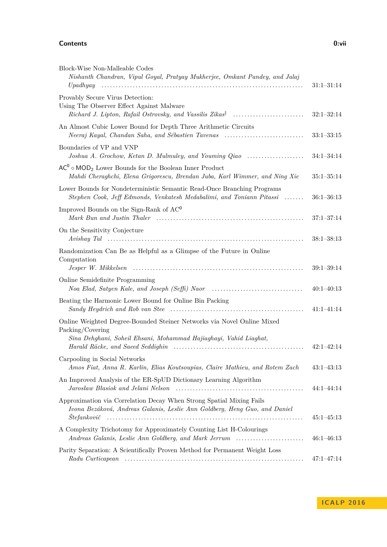#### **Contents 0:vii**

| Block-Wise Non-Malleable Codes<br>Nishanth Chandran, Vipul Goyal, Pratyay Mukherjee, Omkant Pandey, and Jalaj<br>Upadhyay                                                                                                                                                                          | $31:1-31:14$   |
|----------------------------------------------------------------------------------------------------------------------------------------------------------------------------------------------------------------------------------------------------------------------------------------------------|----------------|
| Provably Secure Virus Detection:<br>Using The Observer Effect Against Malware                                                                                                                                                                                                                      | $32:1 - 32:14$ |
| An Almost Cubic Lower Bound for Depth Three Arithmetic Circuits<br>Neeraj Kayal, Chandan Saha, and Sébastien Tavenas                                                                                                                                                                               | $33:1-33:15$   |
| Boundaries of VP and VNP<br>Joshua A. Grochow, Ketan D. Mulmuley, and Youming Qiao                                                                                                                                                                                                                 | $34:1 - 34:14$ |
| $\mathsf{AC}^0\circ \mathsf{MOD}_2$ Lower Bounds for the Boolean Inner Product<br>Mahdi Cheraghchi, Elena Grigorescu, Brendan Juba, Karl Wimmer, and Ning Xie                                                                                                                                      | $35:1 - 35:14$ |
| Lower Bounds for Nondeterministic Semantic Read-Once Branching Programs<br>Stephen Cook, Jeff Edmonds, Venkatesh Medabalimi, and Toniann Pitassi                                                                                                                                                   | $36:1 - 36:13$ |
| Improved Bounds on the Sign-Rank of $AC^0$                                                                                                                                                                                                                                                         | $37:1 - 37:14$ |
| On the Sensitivity Conjecture                                                                                                                                                                                                                                                                      | $38:1 - 38:13$ |
| Randomization Can Be as Helpful as a Glimpse of the Future in Online<br>Computation                                                                                                                                                                                                                | $39:1 - 39:14$ |
| Online Semidefinite Programming<br>Noa Elad, Satyen Kale, and Joseph (Seffi) Naor                                                                                                                                                                                                                  | $40:1-40:13$   |
| Beating the Harmonic Lower Bound for Online Bin Packing                                                                                                                                                                                                                                            | $41:1-41:14$   |
| Online Weighted Degree-Bounded Steiner Networks via Novel Online Mixed<br>Packing/Covering<br>Sina Dehghani, Soheil Ehsani, Mohammad Hajiaghayi, Vahid Liaghat,                                                                                                                                    |                |
|                                                                                                                                                                                                                                                                                                    | $42:1 - 42:14$ |
| Carpooling in Social Networks<br>Amos Fiat, Anna R. Karlin, Elias Koutsoupias, Claire Mathieu, and Rotem Zach                                                                                                                                                                                      | $43:1-43:13$   |
| An Improved Analysis of the ER-SpUD Dictionary Learning Algorithm<br>Jarosław Błasiok and Jelani Nelson (m. 1998) (and the subset of the set of the set of the set of the set of the set of the set of the set of the set of the set of the set of the set of the set of the set of the set of the | $44:1 - 44:14$ |
| Approximation via Correlation Decay When Strong Spatial Mixing Fails<br>Ivona Bezáková, Andreas Galanis, Leslie Ann Goldberg, Heng Guo, and Daniel                                                                                                                                                 | $45:1 - 45:13$ |
| A Complexity Trichotomy for Approximately Counting List H-Colourings<br>Andreas Galanis, Leslie Ann Goldberg, and Mark Jerrum                                                                                                                                                                      | $46:1 - 46:13$ |
| Parity Separation: A Scientifically Proven Method for Permanent Weight Loss                                                                                                                                                                                                                        | $47:1 - 47:14$ |

**I C A L P 2 0 1 6**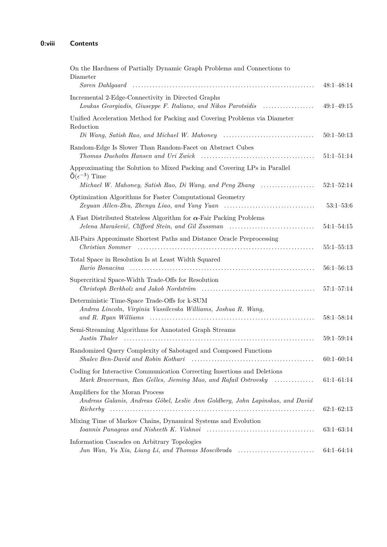| On the Hardness of Partially Dynamic Graph Problems and Connections to<br>Diameter                                                                                   | $48:1 - 48:14$                  |
|----------------------------------------------------------------------------------------------------------------------------------------------------------------------|---------------------------------|
| Incremental 2-Edge-Connectivity in Directed Graphs<br>Loukas Georgiadis, Giuseppe F. Italiano, and Nikos Parotsidis                                                  | $49:1 - 49:15$                  |
| Unified Acceleration Method for Packing and Covering Problems via Diameter<br>Reduction                                                                              | $50:1 - 50:13$                  |
| Random-Edge Is Slower Than Random-Facet on Abstract Cubes                                                                                                            | $51:1 - 51:14$                  |
| Approximating the Solution to Mixed Packing and Covering LPs in Parallel<br>$\tilde{O}(\epsilon^{-3})$ Time                                                          |                                 |
| Michael W. Mahoney, Satish Rao, Di Wang, and Peng Zhang<br>Optimization Algorithms for Faster Computational Geometry<br>Zeyuan Allen-Zhu, Zhenyu Liao, and Yang Yuan | $52:1 - 52:14$<br>$53:1 - 53:6$ |
| A Fast Distributed Stateless Algorithm for $\alpha$ -Fair Packing Problems<br>Jelena Marašević, Clifford Stein, and Gil Zussman                                      | $54:1 - 54:15$                  |
| All-Pairs Approximate Shortest Paths and Distance Oracle Preprocessing                                                                                               | $55:1 - 55:13$                  |
| Total Space in Resolution Is at Least Width Squared                                                                                                                  | $56:1 - 56:13$                  |
| Supercritical Space-Width Trade-Offs for Resolution                                                                                                                  | $57:1 - 57:14$                  |
| Deterministic Time-Space Trade-Offs for k-SUM<br>Andrea Lincoln, Virginia Vassilevska Williams, Joshua R. Wang,                                                      | $58:1 - 58:14$                  |
| Semi-Streaming Algorithms for Annotated Graph Streams                                                                                                                | $59:1 - 59:14$                  |
| Randomized Query Complexity of Sabotaged and Composed Functions<br>Shalev Ben-David and Robin Kothari                                                                | $60:1 - 60:14$                  |
| Coding for Interactive Communication Correcting Insertions and Deletions<br>Mark Braverman, Ran Gelles, Jieming Mao, and Rafail Ostrovsky                            | $61:1-61:14$                    |
| Amplifiers for the Moran Process<br>Andreas Galanis, Andreas Göbel, Leslie Ann Goldberg, John Lapinskas, and David                                                   | $62:1-62:13$                    |
| Mixing Time of Markov Chains, Dynamical Systems and Evolution                                                                                                        | $63:1-63:14$                    |
| Information Cascades on Arbitrary Topologies<br>Jun Wan, Yu Xia, Liang Li, and Thomas Moscibroda                                                                     | $64:1-64:14$                    |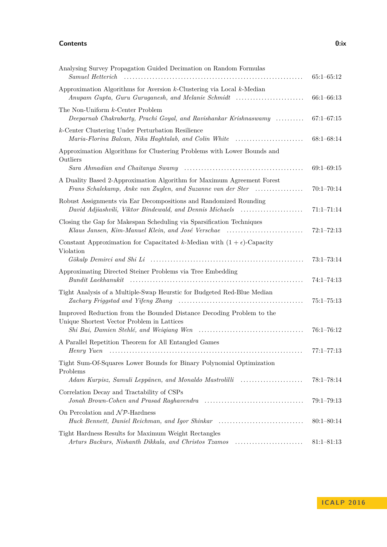#### **Contents 0:ix**

| Analysing Survey Propagation Guided Decimation on Random Formulas                                                                     | $65:1-65:12$   |
|---------------------------------------------------------------------------------------------------------------------------------------|----------------|
| Approximation Algorithms for Aversion $k$ -Clustering via Local $k$ -Median<br>Anupam Gupta, Guru Guruganesh, and Melanie Schmidt     | $66:1 - 66:13$ |
| The Non-Uniform k-Center Problem<br>Deeparnab Chakrabarty, Prachi Goyal, and Ravishankar Krishnaswamy                                 | $67:1 - 67:15$ |
| k-Center Clustering Under Perturbation Resilience<br>Maria-Florina Balcan, Nika Haghtalab, and Colin White                            | $68:1 - 68:14$ |
| Approximation Algorithms for Clustering Problems with Lower Bounds and<br>Outliers                                                    | $69:1 - 69:15$ |
| A Duality Based 2-Approximation Algorithm for Maximum Agreement Forest<br>Frans Schalekamp, Anke van Zuylen, and Suzanne van der Ster | $70:1 - 70:14$ |
| Robust Assignments via Ear Decompositions and Randomized Rounding<br>David Adjiashvili, Viktor Bindewald, and Dennis Michaels         | $71:1 - 71:14$ |
| Closing the Gap for Makespan Scheduling via Sparsification Techniques<br>Klaus Jansen, Kim-Manuel Klein, and José Verschae            | $72:1 - 72:13$ |
| Constant Approximation for Capacitated k-Median with $(1 + \epsilon)$ -Capacity<br>Violation                                          | $73:1 - 73:14$ |
| Approximating Directed Steiner Problems via Tree Embedding                                                                            | $74:1 - 74:13$ |
| Tight Analysis of a Multiple-Swap Heurstic for Budgeted Red-Blue Median                                                               | $75:1 - 75:13$ |
| Improved Reduction from the Bounded Distance Decoding Problem to the<br>Unique Shortest Vector Problem in Lattices                    | $76:1 - 76:12$ |
| A Parallel Repetition Theorem for All Entangled Games                                                                                 | $77:1 - 77:13$ |
| Tight Sum-Of-Squares Lower Bounds for Binary Polynomial Optimization<br>Problems                                                      |                |
| Adam Kurpisz, Samuli Leppänen, and Monaldo Mastrolilli                                                                                | $78:1 - 78:14$ |
| Correlation Decay and Tractability of CSPs                                                                                            | $79:1 - 79:13$ |
| On Percolation and $\mathcal{NP}\text{-}\mathrm{Hardness}$<br>Huck Bennett, Daniel Reichman, and Igor Shinkar                         | $80:1 - 80:14$ |
| Tight Hardness Results for Maximum Weight Rectangles<br>Arturs Backurs, Nishanth Dikkala, and Christos Tzamos                         | $81:1 - 81:13$ |

**I C A L P 2 0 1 6**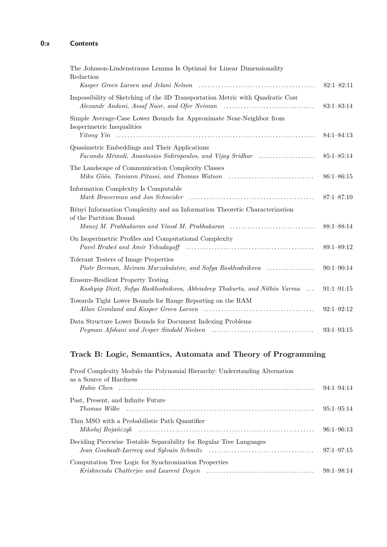# **0:x Contents**

| The Johnson-Lindenstrauss Lemma Is Optimal for Linear Dimensionality<br>Reduction                                                                     |                |
|-------------------------------------------------------------------------------------------------------------------------------------------------------|----------------|
|                                                                                                                                                       | $82:1 - 82:11$ |
| Impossibility of Sketching of the 3D Transportation Metric with Quadratic Cost                                                                        | $83:1 - 83:14$ |
| Simple Average-Case Lower Bounds for Approximate Near-Neighbor from<br>Isoperimetric Inequalities                                                     | $84:1 - 84:13$ |
| Quasimetric Embeddings and Their Applications<br>Facundo Mémoli, Anastasios Sidiropoulos, and Vijay Sridhar                                           | $85:1 - 85:14$ |
| The Landscape of Communication Complexity Classes<br>Mika Göös, Toniann Pitassi, and Thomas Watson                                                    | $86:1 - 86:15$ |
| Information Complexity Is Computable                                                                                                                  | $87:1 - 87:10$ |
| Rényi Information Complexity and an Information Theoretic Characterization<br>of the Partition Bound<br>Manoj M. Prabhakaran and Vinod M. Prabhakaran | $88:1 - 88:14$ |
| On Isoperimetric Profiles and Computational Complexity                                                                                                | $89:1 - 89:12$ |
| Tolerant Testers of Image Properties<br>Piotr Berman, Meiram Murzabulatov, and Sofya Raskhodnikova                                                    | $90:1 - 90:14$ |
| Erasure-Resilient Property Testing<br>Kashyap Dixit, Sofya Raskhodnikova, Abhradeep Thakurta, and Nithin Varma                                        | $91:1 - 91:15$ |
| Towards Tight Lower Bounds for Range Reporting on the RAM                                                                                             | $92:1 - 92:12$ |
| Data Structure Lower Bounds for Document Indexing Problems                                                                                            | $93:1 - 93:15$ |

# **Track B: Logic, Semantics, Automata and Theory of Programming**

| Proof Complexity Modulo the Polynomial Hierarchy: Understanding Alternation |                |
|-----------------------------------------------------------------------------|----------------|
| as a Source of Hardness                                                     |                |
|                                                                             | $94:1 - 94:14$ |
| Past, Present, and Infinite Future                                          |                |
|                                                                             | $95:1 - 95:14$ |
| Thin MSO with a Probabilistic Path Quantifier                               |                |
| Mikołaj Bojańczyk (al. 1992)                                                | $96:1 - 96:13$ |
| Deciding Piecewise Testable Separability for Regular Tree Languages         |                |
|                                                                             | $97:1 - 97:15$ |
| Computation Tree Logic for Synchronization Properties                       |                |
|                                                                             |                |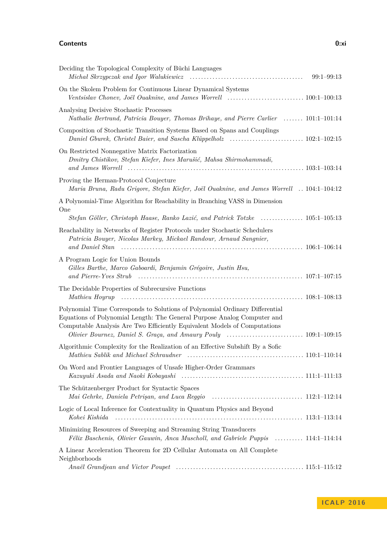#### **Contents 0:xi**

| Deciding the Topological Complexity of Büchi Languages                                                                                                                                                                               | $99:1 - 99:13$ |
|--------------------------------------------------------------------------------------------------------------------------------------------------------------------------------------------------------------------------------------|----------------|
| On the Skolem Problem for Continuous Linear Dynamical Systems                                                                                                                                                                        |                |
| Analysing Decisive Stochastic Processes<br>Nathalie Bertrand, Patricia Bouyer, Thomas Brihaye, and Pierre Carlier  101:1-101:14                                                                                                      |                |
| Composition of Stochastic Transition Systems Based on Spans and Couplings<br>Daniel Gburek, Christel Baier, and Sascha Klüppelholz  102:1-102:15                                                                                     |                |
| On Restricted Nonnegative Matrix Factorization<br>Dmitry Chistikov, Stefan Kiefer, Ines Marušić, Mahsa Shirmohammadi,                                                                                                                |                |
| Proving the Herman-Protocol Conjecture<br>Maria Bruna, Radu Grigore, Stefan Kiefer, Joël Ouaknine, and James Worrell  104:1-104:12                                                                                                   |                |
| A Polynomial-Time Algorithm for Reachability in Branching VASS in Dimension<br>One<br>Stefan Göller, Christoph Haase, Ranko Lazić, and Patrick Totzke  105:1–105:13                                                                  |                |
| Reachability in Networks of Register Protocols under Stochastic Schedulers<br>Patricia Bouyer, Nicolas Markey, Mickael Randour, Arnaud Sangnier,<br>and Daniel Stan                                                                  |                |
| A Program Logic for Union Bounds<br>Gilles Barthe, Marco Gaboardi, Benjamin Grégoire, Justin Hsu,<br>and Pierre-Yves Strub                                                                                                           |                |
| The Decidable Properties of Subrecursive Functions                                                                                                                                                                                   |                |
| Polynomial Time Corresponds to Solutions of Polynomial Ordinary Differential<br>Equations of Polynomial Length: The General Purpose Analog Computer and<br>Computable Analysis Are Two Efficiently Equivalent Models of Computations |                |
| Algorithmic Complexity for the Realization of an Effective Subshift By a Sofic<br>Mathieu Sablik and Michael Schraudner (mathematic material control of 110:1-110:14)                                                                |                |
| On Word and Frontier Languages of Unsafe Higher-Order Grammars                                                                                                                                                                       |                |
| The Schützenberger Product for Syntactic Spaces                                                                                                                                                                                      |                |
| Logic of Local Inference for Contextuality in Quantum Physics and Beyond<br>Kohei Kishida                                                                                                                                            |                |
| Minimizing Resources of Sweeping and Streaming String Transducers<br>Félix Baschenis, Olivier Gauwin, Anca Muscholl, and Gabriele Puppis  114:1-114:14                                                                               |                |
| A Linear Acceleration Theorem for 2D Cellular Automata on All Complete<br>Neighborhoods                                                                                                                                              |                |

**I C A L P 2 0 1 6**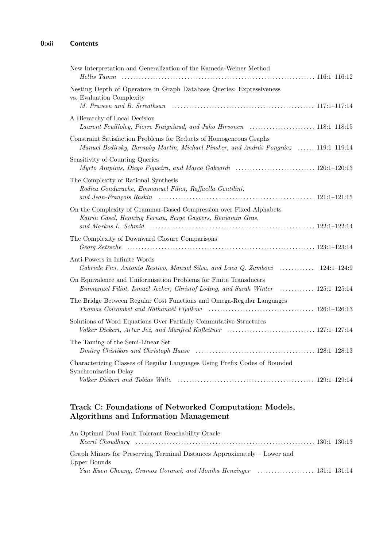| New Interpretation and Generalization of the Kameda-Weiner Method<br>Hellis Tamm                                                                          |
|-----------------------------------------------------------------------------------------------------------------------------------------------------------|
| Nesting Depth of Operators in Graph Database Queries: Expressiveness<br>vs. Evaluation Complexity                                                         |
| A Hierarchy of Local Decision                                                                                                                             |
| Constraint Satisfaction Problems for Reducts of Homogeneous Graphs<br>Manuel Bodirsky, Barnaby Martin, Michael Pinsker, and András Pongrácz  119:1-119:14 |
| Sensitivity of Counting Queries<br>Myrto Arapinis, Diego Figueira, and Marco Gaboardi  120:1-120:13                                                       |
| The Complexity of Rational Synthesis<br>Rodica Condurache, Emmanuel Filiot, Raffaella Gentilini,                                                          |
| On the Complexity of Grammar-Based Compression over Fixed Alphabets<br>Katrin Casel, Henning Fernau, Serge Gaspers, Benjamin Gras,                        |
| The Complexity of Downward Closure Comparisons                                                                                                            |
| Anti-Powers in Infinite Words<br>Gabriele Fici, Antonio Restivo, Manuel Silva, and Luca Q. Zamboni  124:1–124:9                                           |
| On Equivalence and Uniformisation Problems for Finite Transducers<br>Emmanuel Filiot, Ismaël Jecker, Christof Löding, and Sarah Winter  125:1-125:14      |
| The Bridge Between Regular Cost Functions and Omega-Regular Languages                                                                                     |
| Solutions of Word Equations Over Partially Commutative Structures                                                                                         |
| The Taming of the Semi-Linear Set                                                                                                                         |
| Characterizing Classes of Regular Languages Using Prefix Codes of Bounded<br>Synchronization Delay<br>Volker Diekert and Tobias Walte                     |

# **Track C: Foundations of Networked Computation: Models, Algorithms and Information Management**

| An Optimal Dual Fault Tolerant Reachability Oracle                       |  |
|--------------------------------------------------------------------------|--|
|                                                                          |  |
| Graph Minors for Preserving Terminal Distances Approximately – Lower and |  |
| Upper Bounds                                                             |  |
|                                                                          |  |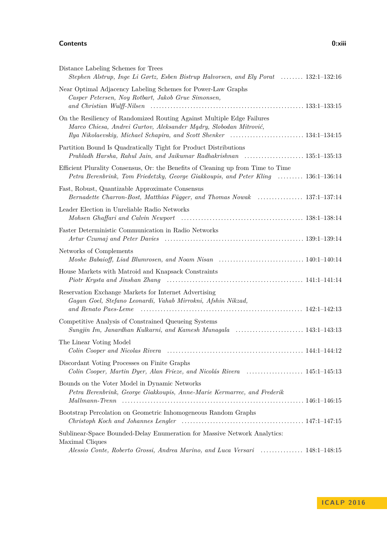#### **Contents 0:xiii**

| Distance Labeling Schemes for Trees<br>Stephen Alstrup, Inge Li Gørtz, Esben Bistrup Halvorsen, and Ely Porat  132:1-132:16                                                                                         |
|---------------------------------------------------------------------------------------------------------------------------------------------------------------------------------------------------------------------|
| Near Optimal Adjacency Labeling Schemes for Power-Law Graphs<br>Casper Petersen, Noy Rotbart, Jakob Grue Simonsen,                                                                                                  |
| On the Resiliency of Randomized Routing Against Multiple Edge Failures<br>Marco Chiesa, Andrei Gurtov, Aleksander Mądry, Slobodan Mitrović,<br>Ilya Nikolaevskiy, Michael Schapira, and Scott Shenker  134:1-134:15 |
| Partition Bound Is Quadratically Tight for Product Distributions                                                                                                                                                    |
| Efficient Plurality Consensus, Or: the Benefits of Cleaning up from Time to Time<br>Petra Berenbrink, Tom Friedetzky, George Giakkoupis, and Peter Kling  136:1-136:14                                              |
| Fast, Robust, Quantizable Approximate Consensus<br>Bernadette Charron-Bost, Matthias Függer, and Thomas Nowak  137:1-137:14                                                                                         |
| Leader Election in Unreliable Radio Networks<br>Mohsen Ghaffari and Calvin Newport (and the continuum of the 138:1-138:14)                                                                                          |
| Faster Deterministic Communication in Radio Networks                                                                                                                                                                |
| Networks of Complements                                                                                                                                                                                             |
| House Markets with Matroid and Knapsack Constraints                                                                                                                                                                 |
| Reservation Exchange Markets for Internet Advertising<br>Gagan Goel, Stefano Leonardi, Vahab Mirrokni, Afshin Nikzad,                                                                                               |
| Competitive Analysis of Constrained Queueing Systems<br>Sungjin Im, Janardhan Kulkarni, and Kamesh Munagala  143:1-143:13                                                                                           |
| The Linear Voting Model                                                                                                                                                                                             |
| Discordant Voting Processes on Finite Graphs<br>Colin Cooper, Martin Dyer, Alan Frieze, and Nicolás Rivera  145:1-145:13                                                                                            |
| Bounds on the Voter Model in Dynamic Networks<br>Petra Berenbrink, George Giakkoupis, Anne-Marie Kermarrec, and Frederik                                                                                            |
| Bootstrap Percolation on Geometric Inhomogeneous Random Graphs                                                                                                                                                      |
| Sublinear-Space Bounded-Delay Enumeration for Massive Network Analytics:<br>Maximal Cliques<br>Alessio Conte, Roberto Grossi, Andrea Marino, and Luca Versari  148:1-148:15                                         |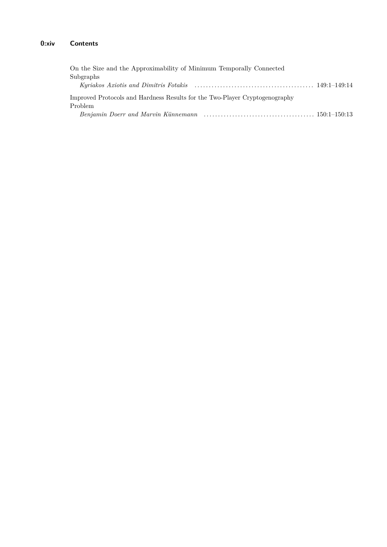| On the Size and the Approximability of Minimum Temporally Connected         |  |
|-----------------------------------------------------------------------------|--|
| Subgraphs                                                                   |  |
|                                                                             |  |
| Improved Protocols and Hardness Results for the Two-Player Cryptogenography |  |
| Problem                                                                     |  |
|                                                                             |  |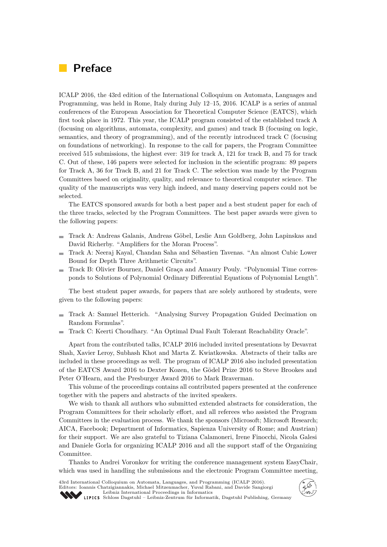# **Preface**

ICALP 2016, the 43rd edition of the International Colloquium on Automata, Languages and Programming, was held in Rome, Italy during July 12–15, 2016. ICALP is a series of annual conferences of the European Association for Theoretical Computer Science (EATCS), which first took place in 1972. This year, the ICALP program consisted of the established track A (focusing on algorithms, automata, complexity, and games) and track B (focusing on logic, semantics, and theory of programming), and of the recently introduced track C (focusing on foundations of networking). In response to the call for papers, the Program Committee received 515 submissions, the highest ever: 319 for track A, 121 for track B, and 75 for track C. Out of these, 146 papers were selected for inclusion in the scientific program: 89 papers for Track A, 36 for Track B, and 21 for Track C. The selection was made by the Program Committees based on originality, quality, and relevance to theoretical computer science. The quality of the manuscripts was very high indeed, and many deserving papers could not be selected.

The EATCS sponsored awards for both a best paper and a best student paper for each of the three tracks, selected by the Program Committees. The best paper awards were given to the following papers:

- Track A: Andreas Galanis, Andreas Göbel, Leslie Ann Goldberg, John Lapinskas and m. David Richerby. "Amplifiers for the Moran Process".
- Track A: Neeraj Kayal, Chandan Saha and Sébastien Tavenas. "An almost Cubic Lower Bound for Depth Three Arithmetic Circuits".
- Track B: Olivier Bournez, Daniel Graça and Amaury Pouly. "Polynomial Time corres- $\mathbf{r}$ ponds to Solutions of Polynomial Ordinary Differential Equations of Polynomial Length".

The best student paper awards, for papers that are solely authored by students, were given to the following papers:

- Track A: Samuel Hetterich. "Analysing Survey Propagation Guided Decimation on  $\blacksquare$ Random Formulas".
- Track C: Keerti Choudhary. "An Optimal Dual Fault Tolerant Reachability Oracle".  $\blacksquare$

Apart from the contributed talks, ICALP 2016 included invited presentations by Devavrat Shah, Xavier Leroy, Subhash Khot and Marta Z. Kwiatkowska. Abstracts of their talks are included in these proceedings as well. The program of ICALP 2016 also included presentation of the EATCS Award 2016 to Dexter Kozen, the Gödel Prize 2016 to Steve Brookes and Peter O'Hearn, and the Presburger Award 2016 to Mark Braverman.

This volume of the proceedings contains all contributed papers presented at the conference together with the papers and abstracts of the invited speakers.

We wish to thank all authors who submitted extended abstracts for consideration, the Program Committees for their scholarly effort, and all referees who assisted the Program Committees in the evaluation process. We thank the sponsors (Microsoft; Microsoft Research; AICA, Facebook; Department of Informatics, Sapienza University of Rome; and Austrian) for their support. We are also grateful to Tiziana Calamoneri, Irene Finocchi, Nicola Galesi and Daniele Gorla for organizing ICALP 2016 and all the support staff of the Organizing Committee.

Thanks to Andrei Voronkov for writing the conference management system EasyChair, which was used in handling the submissions and the electronic Program Committee meeting,

43rd International Colloquium on Automata, Languages, and Programming (ICALP 2016). Editors: Ioannis Chatzigiannakis, Michael Mitzenmacher, Yuval Rabani, and Davide Sangiorgi [Leibniz International Proceedings in Informatics](http://www.dagstuhl.de/en/publications/lipics/) [Schloss Dagstuhl – Leibniz-Zentrum für Informatik, Dagstuhl Publishing, Germany](http://www.dagstuhl.de/en/about-dagstuhl/)

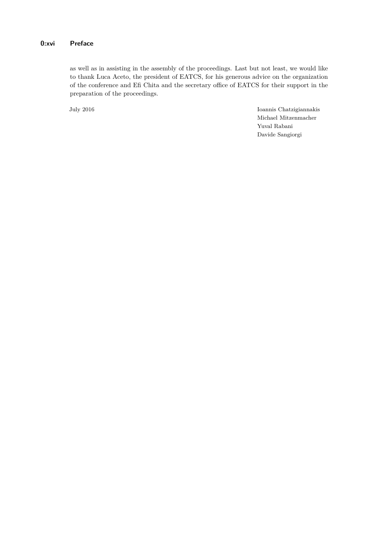as well as in assisting in the assembly of the proceedings. Last but not least, we would like to thank Luca Aceto, the president of EATCS, for his generous advice on the organization of the conference and Efi Chita and the secretary office of EATCS for their support in the preparation of the proceedings.

July 2016 Ioannis Chatzigiannakis Michael Mitzenmacher Yuval Rabani Davide Sangiorgi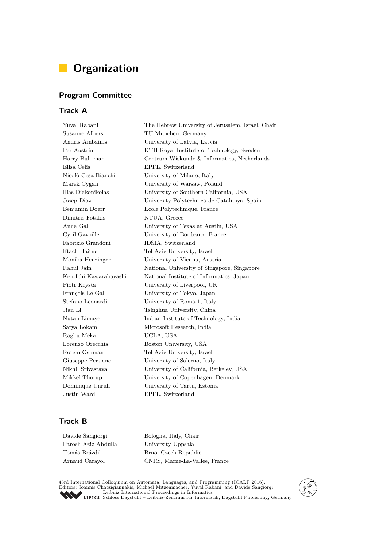# **Organization**

### **Program Committee**

### **Track A**

Yuval Rabani The Hebrew University of Jerusalem, Israel, Chair Susanne Albers TU Munchen, Germany Andris Ambainis University of Latvia, Latvia Per Austrin KTH Royal Institute of Technology, Sweden Harry Buhrman Centrum Wiskunde & Informatica, Netherlands Elisa Celis EPFL, Switzerland Nicolò Cesa-Bianchi University of Milano, Italy Marek Cygan University of Warsaw, Poland Ilias Diakonikolas University of Southern California, USA Josep Diaz University Polytechnica de Catalunya, Spain Benjamin Doerr Ecole Polytechnique, France Dimitris Fotakis NTUA, Greece Anna Gal University of Texas at Austin, USA Cyril Gavoille University of Bordeaux, France Fabrizio Grandoni IDSIA, Switzerland Iftach Haitner Tel Aviv University, Israel Monika Henzinger University of Vienna, Austria Rahul Jain National University of Singapore, Singapore Ken-Ichi Kawarabayashi National Institute of Informatics, Japan Piotr Krysta University of Liverpool, UK François Le Gall University of Tokyo, Japan Stefano Leonardi University of Roma 1, Italy Jian Li Tsinghua University, China Nutan Limaye Indian Institute of Technology, India Satya Lokam Microsoft Research, India Raghu Meka UCLA, USA Lorenzo Orecchia Boston University, USA Rotem Oshman Tel Aviv University, Israel Giuseppe Persiano University of Salerno, Italy Nikhil Srivastava University of California, Berkeley, USA Mikkel Thorup University of Copenhagen, Denmark Dominique Unruh University of Tartu, Estonia Justin Ward EPFL, Switzerland

#### **Track B**

Davide Sangiorgi Bologna, Italy, Chair Parosh Aziz Abdulla University Uppsala Tomás Brázdil Brno, Czech Republic

Arnaud Carayol CNRS, Marne-La-Vallee, France

43rd International Colloquium on Automata, Languages, and Programming (ICALP 2016). Editors: Ioannis Chatzigiannakis, Michael Mitzenmacher, Yuval Rabani, and Davide Sangiorgi [Leibniz International Proceedings in Informatics](http://www.dagstuhl.de/en/publications/lipics/) [Schloss Dagstuhl – Leibniz-Zentrum für Informatik, Dagstuhl Publishing, Germany](http://www.dagstuhl.de/en/about-dagstuhl/)

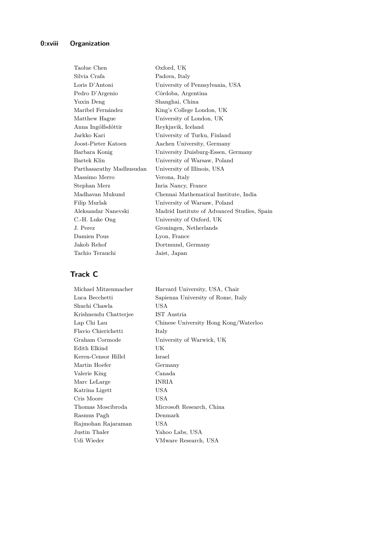| Taolue Chen              | Oxford, UK                                  |
|--------------------------|---------------------------------------------|
| Silvia Crafa             | Padova, Italy                               |
| Loris D'Antoni           | University of Pennsylvania, USA             |
| Pedro D'Argenio          | Córdoba, Argentina                          |
| Yuxin Deng               | Shanghai, China                             |
| Maribel Fernández        | King's College London, UK                   |
| Matthew Hague            | University of London, UK                    |
| Anna Ingólfsdóttir       | Reykjavik, Iceland                          |
| Jarkko Kari              | University of Turku, Finland                |
| Joost-Pieter Katoen      | Aachen University, Germany                  |
| Barbara Konig            | University Duisburg-Essen, Germany          |
| Bartek Klin              | University of Warsaw, Poland                |
| Parthasarathy Madhusudan | University of Illinois, USA                 |
| Massimo Merro            | Verona, Italy                               |
| Stephan Merz             | Inria Nancy, France                         |
| Madhavan Mukund          | Chennai Mathematical Institute, India       |
| Filip Murlak             | University of Warsaw, Poland                |
| Aleksandar Nanevski      | Madrid Institute of Advanced Studies, Spain |
| C.-H. Luke Ong           | University of Oxford, UK                    |
| J. Perez                 | Groningen, Netherlands                      |
| Damien Pous              | Lyon, France                                |
| Jakob Rehof              | Dortmund, Germany                           |
| Tachio Terauchi          | Jaist, Japan                                |

## **Track C**

| Michael Mitzenmacher  | Harvard University, USA, Chair        |
|-----------------------|---------------------------------------|
| Luca Becchetti        | Sapienza University of Rome, Italy    |
| Shuchi Chawla         | USA                                   |
| Krishnendu Chatterjee | IST Austria                           |
| Lap Chi Lau           | Chinese University Hong Kong/Waterloo |
| Flavio Chierichetti   | Italy                                 |
| Graham Cormode        | University of Warwick, UK             |
| Edith Elkind          | UK                                    |
| Keren-Censor Hillel   | Israel                                |
| Martin Hoefer         | Germany                               |
| Valerie King          | Canada                                |
| Marc LeLarge          | INRIA                                 |
| Katrina Ligett        | USA                                   |
| Cris Moore            | USA                                   |
| Thomas Moscibroda     | Microsoft Research, China             |
| Rasmus Pagh           | Denmark                               |
| Rajmohan Rajaraman    | USA                                   |
| Justin Thaler         | Yahoo Labs, USA                       |
| Udi Wieder            | VMware Research, USA                  |
|                       |                                       |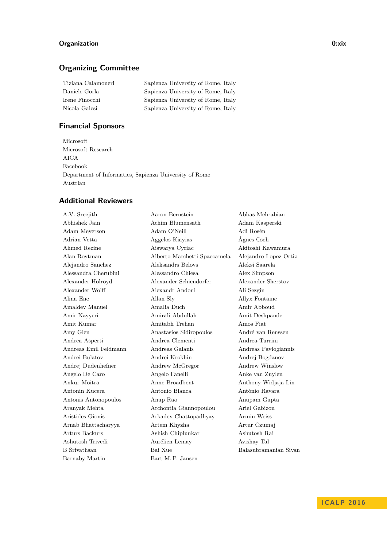#### **Organization 0:xix**

### **Organizing Committee**

| Tiziana Calamoneri | Sapienza University of Rome, Italy |
|--------------------|------------------------------------|
| Daniele Gorla      | Sapienza University of Rome, Italy |
| Irene Finocchi     | Sapienza University of Rome, Italy |
| Nicola Galesi      | Sapienza University of Rome, Italy |
|                    |                                    |

### **Financial Sponsors**

Microsoft Microsoft Research AICA Facebook Department of Informatics, Sapienza University of Rome Austrian

### **Additional Reviewers**

Barnaby Martin Bart M. P. Jansen

A.V. Sreejith Aaron Bernstein Abbas Mehrabian Abhishek Jain Achim Blumensath Adam Kasperski Adam Meyerson Adam O'Neill Adi Rosén Adrian Vetta Aggelos Kiayias Ágnes Cseh Ahmed Rezine Aiswarya Cyriac Akitoshi Kawamura Alan Roytman Alberto Marchetti-Spaccamela Alejandro Lopez-Ortiz Alejandro Sanchez Aleksandrs Belovs Aleksi Saarela Alessandra Cherubini Alessandro Chiesa Alex Simpson Alexander Holroyd Alexander Schiendorfer Alexander Sherstov Alexander Wolff Alexandr Andoni Ali Sezgin Alina Ene Allan Sly Allyx Fontaine Amaldev Manuel Amalia Duch Amir Abboud Amir Nayyeri Amirali Abdullah Amit Deshpande Amit Kumar Amitabh Trehan Amos Fiat Amy Glen Anastasios Sidiropoulos André van Renssen Andrea Asperti Andrea Clementi Andrea Turrini Andreas Emil Feldmann Andreas Galanis Andreas Pavlogiannis Andrei Bulatov Andrei Krokhin Andrej Bogdanov Andrej Dudenhefner Andrew McGregor Andrew Winslow Angelo De Caro Angelo Fanelli Anke van Zuylen Ankur Moitra Anne Broadbent Anthony Widjaja Lin Antonin Kucera Antonio Blanca António Ravara Antonis Antonopoulos Anup Rao Anupam Gupta Aranyak Mehta Archontia Giannopoulou Ariel Gabizon Aristides Gionis Arkadev Chattopadhyay Armin Weiss Arnab Bhattacharyya Artem Khyzha Artur Czumaj Arturs Backurs Ashish Chiplunkar Ashutosh Rai Ashutosh Trivedi Aurélien Lemay Avishay Tal B Srivathsan Bai Xue Balasubramanian Sivan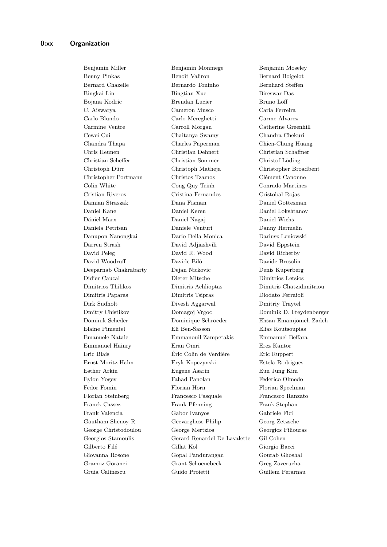Benjamin Miller Benjamin Monmege Benjamin Moseley Benny Pinkas Benoît Valiron Bernard Boigelot Bernard Chazelle Bernardo Toninho Bernhard Steffen Bingkai Lin Bingtian Xue Bireswar Das Bojana Kodric Brendan Lucier Bruno Loff C. Aiswarya Cameron Musco Carla Ferreira Carlo Blundo Carlo Mereghetti Carme Alvarez Carmine Ventre Carroll Morgan Catherine Greenhill Cewei Cui Chaitanya Swamy Chandra Chekuri Chandra Thapa Charles Paperman Chien-Chung Huang Chris Heunen Christian Dehnert Christian Schaffner Christian Scheffer Christian Sommer Christof Löding Christoph Dürr Christoph Matheja Christopher Broadbent Christopher Portmann Christos Tzamos Clément Canonne Colin White Cong Quy Trinh Conrado Martínez Cristian Riveros Cristina Fernandes Cristobal Rojas Damian Straszak Dana Fisman Daniel Gottesman Daniel Kane Daniel Keren Daniel Lokshtanov Dániel Marx Daniel Nagaj Daniel Wichs Daniela Petrisan Daniele Venturi Danny Hermelin Danupon Nanongkai Dario Della Monica Dariusz Leniowski Darren Strash David Adjiashvili David Eppstein David Peleg David R. Wood David Richerby David Woodruff Davide Bilò Davide Bresolin Deeparnab Chakrabarty Dejan Nickovic Denis Kuperberg Didier Caucal Dieter Mitsche Dimitrios Letsios Dimitrios Thilikos Dimitris Achlioptas Dimitris Chatzidimitriou Dimitris Paparas Dimitris Tsipras Diodato Ferraioli Dirk Sudholt Divesh Aggarwal Dmitriy Traytel Dmitry Chistikov Domagoj Vrgoc Dominik D. Freydenberger Dominik Scheder Dominique Schroeder Ehsan Emamjomeh-Zadeh Elaine Pimentel Eli Ben-Sasson Elias Koutsoupias Emanuele Natale Emmanouil Zampetakis Emmanuel Beffara Emmanuel Hainry Eran Omri Erez Kantor Eric Blais Éric Colin de Verdière Eric Ruppert Ernst Moritz Hahn Eryk Kopczynski Estela Rodrigues Esther Arkin Eugene Asarin Eun Jung Kim Eylon Yogev Fahad Panolan Federico Olmedo Fedor Fomin Florian Horn Florian Speelman Florian Steinberg Francesco Pasquale Francesco Ranzato Franck Cassez Frank Pfenning Frank Stephan Frank Valencia Gabor Ivanyos Gabriele Fici Gautham Shenoy R Geevarghese Philip Georg Zetzsche George Christodoulou George Mertzios Georgios Piliouras Georgios Stamoulis Gerard Renardel De Lavalette Gil Cohen Gilberto Filé Gillat Kol Giorgio Bacci Giovanna Rosone Gopal Pandurangan Gourab Ghoshal Gramoz Goranci Grant Schoenebeck Greg Zaverucha Gruia Calinescu Guido Proietti Guillem Perarnau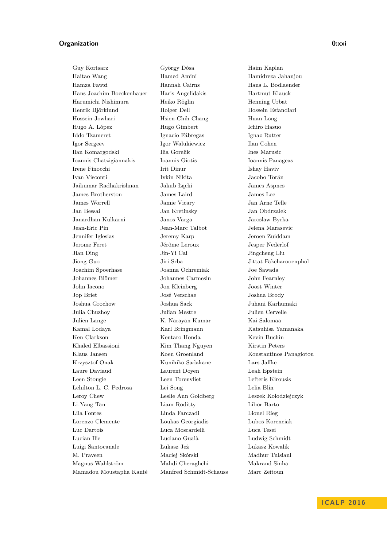#### **Organization 0:xxi**

Guy Kortsarz György Dósa Haim Kaplan Haitao Wang Hamed Amini Hamidreza Jahanjou Hamza Fawzi Hannah Cairns Hans L. Bodlaender Hans-Joachim Boeckenhauer Haris Angelidakis Hartmut Klauck Harumichi Nishimura Heiko Röglin Henning Urbat Henrik Björklund Holger Dell Hossein Esfandiari Hossein Jowhari Hsien-Chih Chang Huan Long Hugo A. López Hugo Gimbert Ichiro Hasuo Iddo Tzameret Ignacio Fábregas Ignaz Rutter Igor Sergeev Igor Walukiewicz Ilan Cohen Ilan Komargodski Ilia Gorelik Ines Marusic Ioannis Chatzigiannakis Ioannis Giotis Ioannis Panageas Irene Finocchi Irit Dinur Ishay Haviv Ivan Visconti Ivkin Nikita Jacobo Torán Jaikumar Radhakrishnan Jakub Łącki James Aspnes James Brotherston James Laird James Lee James Worrell Jamie Vicary Jan Arne Telle Jan Bessai Jan Kretinsky Jan Obdrzalek Janardhan Kulkarni Janos Varga Jaroslaw Byrka Jean-Eric Pin Jean-Marc Talbot Jelena Marasevic Jennifer Iglesias Jeremy Karp Jeroen Zuiddam Jerome Feret Jérôme Leroux Jesper Nederlof Jian Ding Jin-Yi Cai Jingcheng Liu Jiong Guo Jiri Srba Jittat Fakcharooenphol Joachim Spoerhase Joanna Ochremiak Joe Sawada Johannes Blömer Johannes Carmesin John Fearnley John Iacono Jon Kleinberg Joost Winter Jop Briet José Verschae Joshua Brody Joshua Grochow Joshua Sack Juhani Karhumaki Julia Chuzhoy Julian Mestre Julien Cervelle Julien Lange K. Narayan Kumar Kai Salomaa Kamal Lodaya Karl Bringmann Katsuhisa Yamanaka Ken Clarkson Kentaro Honda Kevin Buchin Khaled Elbassioni Kim Thang Nguyen Kirstin Peters Klaus Jansen Koen Groenland Konstantinos Panagiotou Krzysztof Onak Kunihiko Sadakane Lars Jaffke Laure Daviaud Laurent Doyen Leah Epstein Leen Stougie Leen Torenvliet Lefteris Kirousis Lehilton L. C. Pedrosa Lei Song Lelia Blin Leroy Chew Leslie Ann Goldberg Leszek Kolodziejczyk Li-Yang Tan Liam Roditty Libor Barto Lila Fontes Linda Farczadi Lionel Rieg Lorenzo Clemente Loukas Georgiadis Lubos Korenciak Luc Dartois Luca Moscardelli Luca Tesei Lucian Ilie Luciano Gualà Ludwig Schmidt Luigi Santocanale Łukasz Jeż Lukasz Kowalik M. Praveen Maciej Skórski Madhur Tulsiani Magnus Wahlström Mahdi Cheraghchi Makrand Sinha Mamadou Moustapha Kanté Manfred Schmidt-Schauss Marc Zeitoun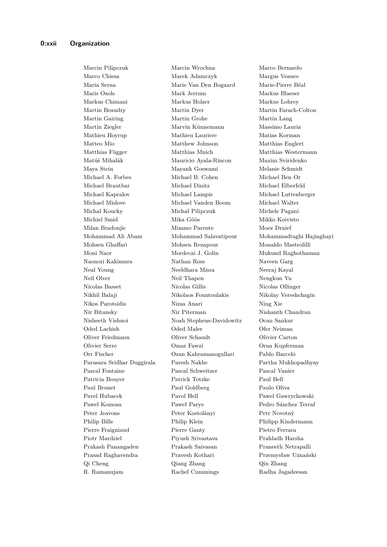Marcin Pilipczuk Marcin Wrochna Marco Bernardo Marco Chiesa Marek Adamczyk Margus Veanes Maria Serna Marie Van Den Bogaard Marie-Pierre Béal Maris Ozols Mark Jerrum Markus Blaeser Markus Chimani Markus Holzer Markus Lohrey Martin Beaudry Martin Dyer Martin Farach-Colton Martin Gairing Martin Grohe Martin Lang Martin Ziegler Marvin Künnemann Massimo Lauria Mathieu Hoyrup Mathieu Lauriere Matias Korman Matteo Mio Matthew Johnson Matthias Englert Matthias Függer Matthias Mnich Matthias Westermann Matúš Mihalák Mauricio Ayala-Rincon Maxim Sviridenko Maya Stein Mayank Goswami Melanie Schmidt Michael A. Forbes Michael B. Cohen Michael Ben Or Michael Brautbar Michael Dinitz Michael Elberfeld Michael Kapralov Michael Lampis Michael Luttenberger Michael Mislove Michael Vanden Boom Michael Walter Michal Koucky Michał Pilipczuk Michele Pagani Michiel Smid Mika Göös Mikko Koivisto Milan Bradonjic Mimmo Parente Moez Draief Mohammad Ali Abam Mohammad Salavatipour Mohammadtaghi Hajiaghayi Mohsen Ghaffari Mohsen Rezapour Monaldo Mastrolilli Moni Naor Mordecai J. Golin Mukund Raghothaman Naonori Kakimura Nathan Ross Naveen Garg Neal Young Neeldhara Misra Neeraj Kayal Neil Olver Neil Thapen Nengkun Yu Nicolas Basset Nicolas Gillis Nicolas Ollinger Nikhil Balaji Nikolaos Fountoulakis Nikolay Vereshchagin Nikos Parotsidis Nima Anari Ning Xie Nir Bitansky Nir Piterman Nishanth Chandran Nishanth Chandran Nisheeth Vishnoi Noah Stephens-Davidowitz Ocan Sankur Oded Lachish Oded Maler Ofer Neiman Oliver Friedmann Oliver Schaudt Olivier Carton Olivier Serre Omar Fawzi Orna Kupferman Orr Fischer Ozan Kahramanogullari Pablo Barceló Parasara Sridhar Duggirala Paresh Nakhe Partha Mukhopadhyay Pascal Fontaine Pascal Schweitzer Pascal Vanier Patricia Bouyer Patrick Totzke Paul Bell Paul Brunet Paul Goldberg Paulo Oliva Pavel Hubacek Pavol Hell Pawel Gawrychowski Pawel Komosa Paweł Parys Pedro Sánchez Terraf Peter Jeavons Peter Kostolányi Petr Novotný Philip Bille Philip Klein Philipp Kindermann Pierre Fraigniaud Pierre Ganty Pietro Ferrara Piotr Mardziel Piyush Srivastava Prahladh Harsha Prakash Panangaden Prakash Saivasan Praneeth Netrapalli Prasad Raghavendra Pravesh Kothari Przemysław Uznański Qi Cheng Qiang Zhang Qin Zhang R. Ramanujam Rachel Cummings Radha Jagadeesan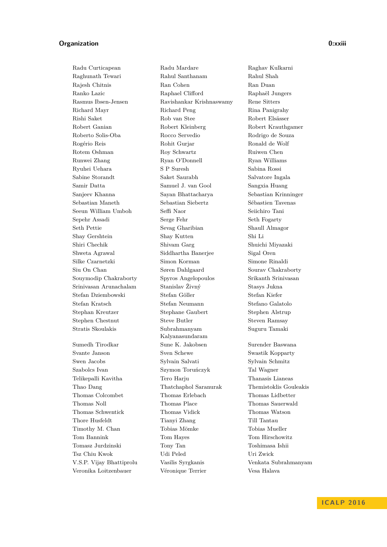#### **Organization 0:xxiii**

Stratis Skoulakis Subrahmanyam

Radu Curticapean Radu Mardare Raghav Kulkarni Raghunath Tewari Rahul Santhanam Rahul Shah Rajesh Chitnis Ran Cohen Ran Duan Ranko Lazic Raphael Clifford Raphaël Jungers Rasmus Ibsen-Jensen Ravishankar Krishnaswamy Rene Sitters Richard Mayr Richard Peng Rina Panigrahy Rishi Saket Rob van Stee Robert Elsässer Robert Ganian Robert Kleinberg Robert Krauthgamer Roberto Solis-Oba Rocco Servedio Rodrigo de Souza Rogério Reis Rohit Gurjar Ronald de Wolf Rotem Oshman Roy Schwartz Ruiwen Chen Runwei Zhang Ryan O'Donnell Ryan Williams Ryuhei Uehara Sabina Rossi Sabina Rossi Sabina Rossi Sabina Rossi Sabina Rossi Sabina Rossi Sabina Rossi Sabina Rossi Sabina Rossi Sabina Rossi Sabina Rossi Sabina Rossi Sabina Rossi Sabina Rossi Sabina Rossi Sabina Rossi Sabine Storandt Saket Saurabh Salvatore Ingala Samir Datta Samuel J. van Gool Sangxia Huang Sanjeev Khanna Sayan Bhattacharya Sebastian Krinninger Sebastian Maneth Sebastian Siebertz Sébastien Tavenas Seeun William Umboh Seffi Naor Seiichiro Tani Sepehr Assadi Serge Fehr Seth Fogarty Seth Pettie Sevag Gharibian Shaull Almagor Shay Gershtein Shay Kutten Shi Li Shiri Chechik Shivam Garg Shuichi Miyazaki Shweta Agrawal Siddhartha Banerjee Sigal Oren Silke Czarnetzki Simon Korman Simone Rinaldi Siu On Chan Søren Dahlgaard Sourav Chakraborty Souymodip Chakraborty Spyros Angelopoulos Srikanth Srinivasan Srinivasan Arunachalam Stanislav Živný Stasys Jukna Stefan Dziembowski Stefan Göller Stefan Kiefer Stefan Kratsch Stefan Neumann Stefano Galatolo Stephan Kreutzer Stephane Gaubert Stephen Alstrup Stephen Chestnut Steve Butler Steven Ramsay Kalyanasundaram Sumedh Tirodkar Sune K. Jakobsen Surender Baswana Svante Janson Sven Schewe Swastik Kopparty Swen Jacobs Sylvain Salvati Sylvain Schmitz Szabolcs Ivan Szymon Toruńczyk Tal Wagner Telikepalli Kavitha Tero Harju Thanasis Lianeas Thao Dang Thatchaphol Saranurak Themistoklis Gouleakis Thomas Colcombet Thomas Erlebach Thomas Lidbetter Thomas Noll Thomas Place Thomas Sauerwald Thomas Schwentick Thomas Vidick Thomas Watson Thore Husfeldt Tianyi Zhang Till Tantau Timothy M. Chan Tobias Mömke Tobias Mueller Tom Bannink Tom Hayes Tom Hirschowitz Tomasz Jurdzinski Tony Tan Toshimasa Ishii Tsz Chiu Kwok Udi Peled Uri Zwick V.S.P. Vijay Bhattiprolu Vasilis Syrgkanis Venkata Subrahmanyam Veronika Loitzenbauer Véronique Terrier Vesa Halava

Suguru Tamaki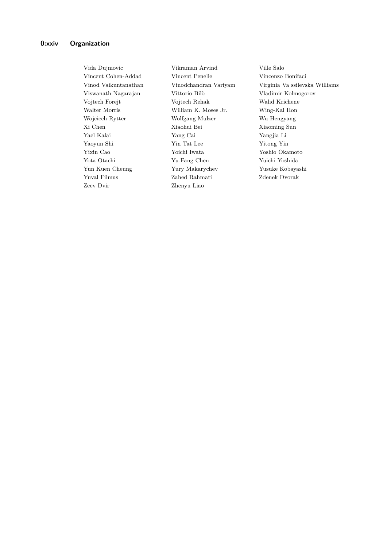Zeev Dvir Zhenyu Liao

Vida Dujmovic Vikraman Arvind Ville Salo Vincent Cohen-Addad Vincent Penelle Vincenzo Bonifaci Viswanath Nagarajan Vittorio Bilò Vladimir Kolmogorov Vojtech Forejt Vojtech Rehak Walid Krichene Walter Morris William K. Moses Jr. Wing-Kai Hon Wojciech Rytter Wolfgang Mulzer Wu Hengyang Xi Chen Xiaohui Bei Xiaoming Sun Yael Kalai Yang Cai Yangjia Li Yaoyun Shi Yin Tat Lee Yitong Yin Yixin Cao Yoichi Iwata Yoshio Okamoto Yota Otachi Yu-Fang Chen Yuichi Yoshida Yun Kuen Cheung Yury Makarychev Yusuke Kobayashi Yuval Filmus Zahed Rahmati Zdenek Dvorak

Vinod Vaikuntanathan Vinodchandran Variyam Virginia Va ssilevska Williams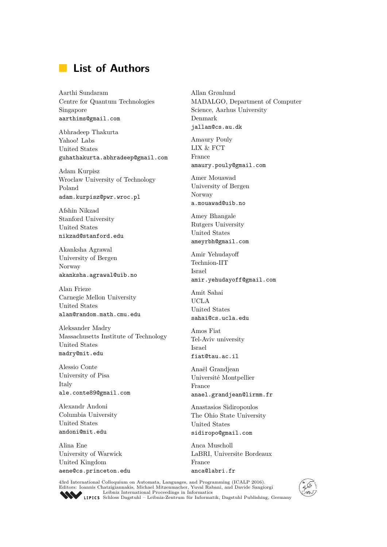# **List of Authors**

Aarthi Sundaram Centre for Quantum Technologies Singapore aarthims@gmail.com

Abhradeep Thakurta Yahoo! Labs United States guhathakurta.abhradeep@gmail.com

Adam Kurpisz Wroclaw University of Technology Poland adam.kurpisz@pwr.wroc.pl

Afshin Nikzad Stanford University United States nikzad@stanford.edu

Akanksha Agrawal University of Bergen Norway akanksha.agrawal@uib.no

Alan Frieze Carnegie Mellon University United States alan@random.math.cmu.edu

Aleksander Madry Massachusetts Institute of Technology United States madry@mit.edu

Alessio Conte University of Pisa Italy ale.conte89@gmail.com

Alexandr Andoni Columbia University United States andoni@mit.edu

Alina Ene University of Warwick United Kingdom aene@cs.princeton.edu Allan Grønlund MADALGO, Department of Computer Science, Aarhus University Denmark jallan@cs.au.dk

Amaury Pouly LIX & FCT France amaury.pouly@gmail.com

Amer Mouawad University of Bergen Norway a.mouawad@uib.no

Amey Bhangale Rutgers University United States ameyrbh@gmail.com

Amir Yehudayoff Technion-IIT Israel amir.yehudayoff@gmail.com

Amit Sahai UCLA United States sahai@cs.ucla.edu

Amos Fiat Tel-Aviv university Israel fiat@tau.ac.il

Anaël Grandjean Université Montpellier France anael.grandjean@lirmm.fr

Anastasios Sidiropoulos The Ohio State University United States sidiropo@gmail.com

Anca Muscholl LaBRI, Universite Bordeaux France anca@labri.fr



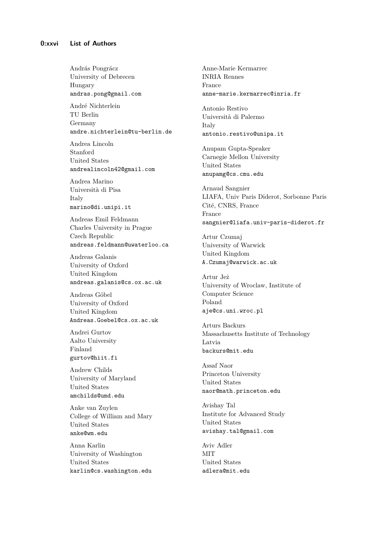András Pongrácz University of Debrecen Hungary andras.pong@gmail.com

André Nichterlein TU Berlin Germany andre.nichterlein@tu-berlin.de

Andrea Lincoln Stanford United States andrealincoln42@gmail.com

Andrea Marino Università di Pisa Italy marino@di.unipi.it

Andreas Emil Feldmann Charles University in Prague Czech Republic andreas.feldmann@uwaterloo.ca

Andreas Galanis University of Oxford United Kingdom andreas.galanis@cs.ox.ac.uk

Andreas Göbel University of Oxford United Kingdom Andreas.Goebel@cs.ox.ac.uk

Andrei Gurtov Aalto University Finland gurtov@hiit.fi

Andrew Childs University of Maryland United States amchilds@umd.edu

Anke van Zuylen College of William and Mary United States anke@wm.edu

Anna Karlin University of Washington United States karlin@cs.washington.edu Anne-Marie Kermarrec INRIA Rennes France anne-marie.kermarrec@inria.fr

Antonio Restivo Università di Palermo Italy antonio.restivo@unipa.it

Anupam Gupta-Speaker Carnegie Mellon University United States anupamg@cs.cmu.edu

Arnaud Sangnier LIAFA, Univ Paris Diderot, Sorbonne Paris Cité, CNRS, France France sangnier@liafa.univ-paris-diderot.fr

Artur Czumaj University of Warwick United Kingdom A.Czumaj@warwick.ac.uk

Artur Jeż University of Wroclaw, Institute of Computer Science Poland aje@cs.uni.wroc.pl

Arturs Backurs Massachusetts Institute of Technology Latvia backurs@mit.edu

Assaf Naor Princeton University United States naor@math.princeton.edu

Avishay Tal Institute for Advanced Study United States avishay.tal@gmail.com

Aviv Adler **MIT** United States adlera@mit.edu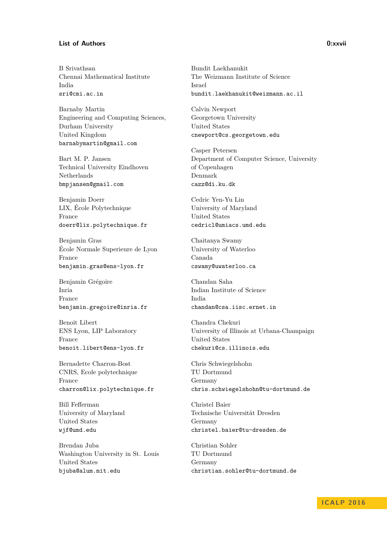#### List of Authors **0:xxvii**

B Srivathsan Chennai Mathematical Institute India sri@cmi.ac.in

Barnaby Martin Engineering and Computing Sciences, Durham University United Kingdom barnabymartin@gmail.com

Bart M. P. Jansen Technical University Eindhoven Netherlands bmpjansen@gmail.com

Benjamin Doerr LIX, École Polytechnique France doerr@lix.polytechnique.fr

Benjamin Gras École Normale Superieure de Lyon France benjamin.gras@ens-lyon.fr

Benjamin Grégoire Inria France benjamin.gregoire@inria.fr

Benoit Libert ENS Lyon, LIP Laboratory France benoit.libert@ens-lyon.fr

Bernadette Charron-Bost CNRS, Ecole polytechnique France charron@lix.polytechnique.fr

Bill Fefferman University of Maryland United States wjf@umd.edu

Brendan Juba Washington University in St. Louis United States bjuba@alum.mit.edu

Bundit Laekhanukit The Weizmann Institute of Science Israel bundit.laekhanukit@weizmann.ac.il

Calvin Newport Georgetown University United States cnewport@cs.georgetown.edu

Casper Petersen Department of Computer Science, University of Copenhagen Denmark cazz@di.ku.dk

Cedric Yen-Yu Lin University of Maryland United States cedricl@umiacs.umd.edu

Chaitanya Swamy University of Waterloo Canada cswamy@uwaterloo.ca

Chandan Saha Indian Institute of Science India chandan@csa.iisc.ernet.in

Chandra Chekuri University of Illinois at Urbana-Champaign United States chekuri@cs.illinois.edu

Chris Schwiegelshohn TU Dortmund Germany chris.schwiegelshohn@tu-dortmund.de

Christel Baier Technische Universität Dresden Germany christel.baier@tu-dresden.de

Christian Sohler TU Dortmund Germany christian.sohler@tu-dortmund.de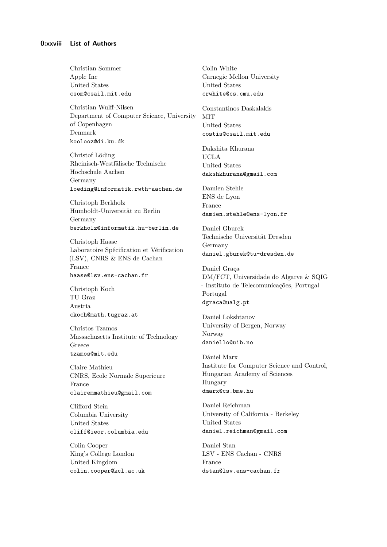Christian Sommer Apple Inc United States csom@csail.mit.edu

Christian Wulff-Nilsen Department of Computer Science, University of Copenhagen Denmark koolooz@di.ku.dk

Christof Löding Rheinisch-Westfälische Technische Hochschule Aachen Germany loeding@informatik.rwth-aachen.de

Christoph Berkholz Humboldt-Universität zu Berlin Germany berkholz@informatik.hu-berlin.de

Christoph Haase Laboratoire Spécification et Vérification (LSV), CNRS & ENS de Cachan France haase@lsv.ens-cachan.fr

Christoph Koch TU Graz Austria ckoch@math.tugraz.at

Christos Tzamos Massachusetts Institute of Technology Greece tzamos@mit.edu

Claire Mathieu CNRS, Ecole Normale Superieure France clairemmathieu@gmail.com

Clifford Stein Columbia University United States cliff@ieor.columbia.edu

Colin Cooper King's College London United Kingdom colin.cooper@kcl.ac.uk Colin White Carnegie Mellon University United States crwhite@cs.cmu.edu

Constantinos Daskalakis **MIT** United States costis@csail.mit.edu

Dakshita Khurana UCLA United States dakshkhurana@gmail.com

Damien Stehle ENS de Lyon France damien.stehle@ens-lyon.fr

Daniel Gburek Technische Universität Dresden Germany daniel.gburek@tu-dresden.de

Daniel Graça DM/FCT, Universidade do Algarve & SQIG - Instituto de Telecomunicações, Portugal Portugal dgraca@ualg.pt

Daniel Lokshtanov University of Bergen, Norway Norway daniello@uib.no

Dániel Marx Institute for Computer Science and Control, Hungarian Academy of Sciences Hungary dmarx@cs.bme.hu

Daniel Reichman University of California - Berkeley United States daniel.reichman@gmail.com

Daniel Stan LSV - ENS Cachan - CNRS France dstan@lsv.ens-cachan.fr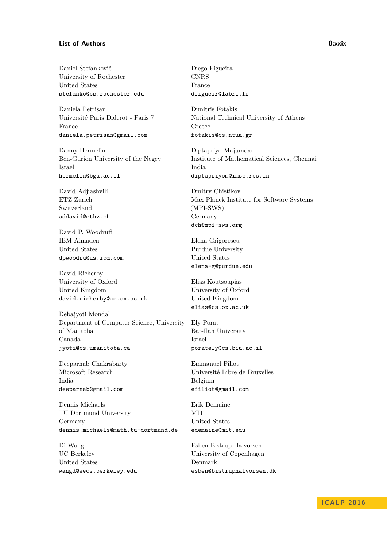#### **List of Authors 0:xxix**

Daniel Štefankovič University of Rochester United States stefanko@cs.rochester.edu

Daniela Petrisan Université Paris Diderot - Paris 7 France daniela.petrisan@gmail.com

Danny Hermelin Ben-Gurion University of the Negev Israel hermelin@bgu.ac.il

David Adjiashvili ETZ Zurich Switzerland addavid@ethz.ch

David P. Woodruff IBM Almaden United States dpwoodru@us.ibm.com

David Richerby University of Oxford United Kingdom david.richerby@cs.ox.ac.uk

Debajyoti Mondal Department of Computer Science, University of Manitoba Canada jyoti@cs.umanitoba.ca

Deeparnab Chakrabarty Microsoft Research India deeparnab@gmail.com

Dennis Michaels TU Dortmund University Germany dennis.michaels@math.tu-dortmund.de

Di Wang UC Berkeley United States wangd@eecs.berkeley.edu Diego Figueira CNRS France dfigueir@labri.fr

Dimitris Fotakis National Technical University of Athens Greece fotakis@cs.ntua.gr

Diptapriyo Majumdar Institute of Mathematical Sciences, Chennai India diptapriyom@imsc.res.in

Dmitry Chistikov Max Planck Institute for Software Systems (MPI-SWS) Germany dch@mpi-sws.org

Elena Grigorescu Purdue University United States elena-g@purdue.edu

Elias Koutsoupias University of Oxford United Kingdom elias@cs.ox.ac.uk

Ely Porat Bar-Ilan University Israel porately@cs.biu.ac.il

Emmanuel Filiot Université Libre de Bruxelles Belgium efiliot@gmail.com

Erik Demaine **MIT** United States edemaine@mit.edu

Esben Bistrup Halvorsen University of Copenhagen Denmark esben@bistruphalvorsen.dk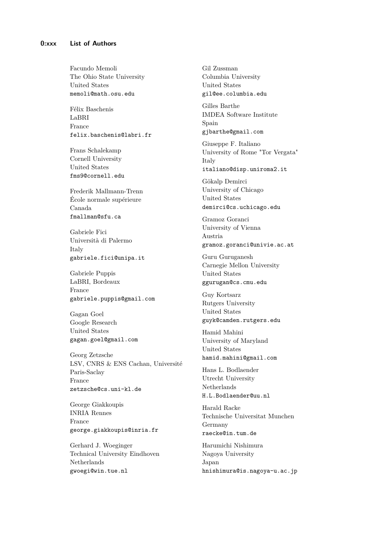Facundo Memoli The Ohio State University United States memoli@math.osu.edu

Félix Baschenis LaBRI France felix.baschenis@labri.fr

Frans Schalekamp Cornell University United States fms9@cornell.edu

Frederik Mallmann-Trenn École normale supérieure Canada fmallman@sfu.ca

Gabriele Fici Università di Palermo Italy gabriele.fici@unipa.it

Gabriele Puppis LaBRI, Bordeaux France gabriele.puppis@gmail.com

Gagan Goel Google Research United States gagan.goel@gmail.com

Georg Zetzsche LSV, CNRS & ENS Cachan, Université Paris-Saclay France zetzsche@cs.uni-kl.de

George Giakkoupis INRIA Rennes France george.giakkoupis@inria.fr

Gerhard J. Woeginger Technical University Eindhoven Netherlands gwoegi@win.tue.nl

Gil Zussman Columbia University United States gil@ee.columbia.edu

Gilles Barthe IMDEA Software Institute Spain gjbarthe@gmail.com

Giuseppe F. Italiano University of Rome "Tor Vergata" Italy italiano@disp.uniroma2.it

Gökalp Demirci University of Chicago United States demirci@cs.uchicago.edu

Gramoz Goranci University of Vienna Austria gramoz.goranci@univie.ac.at

Guru Guruganesh Carnegie Mellon University United States ggurugan@cs.cmu.edu

Guy Kortsarz Rutgers University United States guyk@camden.rutgers.edu

Hamid Mahini University of Maryland United States hamid.mahini@gmail.com

Hans L. Bodlaender Utrecht University Netherlands H.L.Bodlaender@uu.nl

Harald Racke Technische Universitat Munchen Germany raecke@in.tum.de

Harumichi Nishimura Nagoya University Japan hnishimura@is.nagoya-u.ac.jp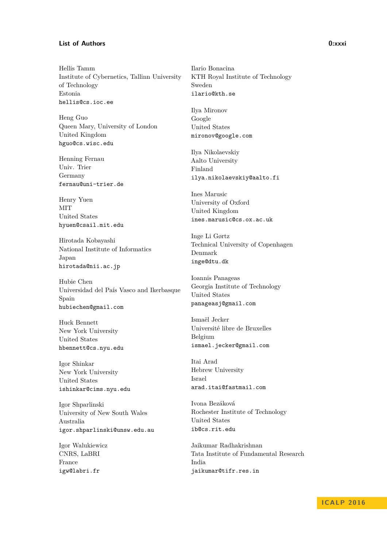#### **List of Authors 0:xxxi**

Hellis Tamm Institute of Cybernetics, Tallinn University of Technology Estonia hellis@cs.ioc.ee

Heng Guo Queen Mary, University of London United Kingdom hguo@cs.wisc.edu

Henning Fernau Univ. Trier Germany fernau@uni-trier.de

Henry Yuen **MIT** United States hyuen@csail.mit.edu

Hirotada Kobayashi National Institute of Informatics Japan hirotada@nii.ac.jp

Hubie Chen Universidad del País Vasco and Ikerbasque Spain hubiechen@gmail.com

Huck Bennett New York University United States hbennett@cs.nyu.edu

Igor Shinkar New York University United States ishinkar@cims.nyu.edu

Igor Shparlinski University of New South Wales Australia igor.shparlinski@unsw.edu.au

Igor Walukiewicz CNRS, LaBRI France igw@labri.fr

Ilario Bonacina KTH Royal Institute of Technology Sweden ilario@kth.se

Ilya Mironov Google United States mironov@google.com

Ilya Nikolaevskiy Aalto University Finland ilya.nikolaevskiy@aalto.fi

Ines Marusic University of Oxford United Kingdom ines.marusic@cs.ox.ac.uk

Inge Li Gørtz Technical University of Copenhagen Denmark inge@dtu.dk

Ioannis Panageas Georgia Institute of Technology United States panageasj@gmail.com

Ismaël Jecker Université libre de Bruxelles Belgium ismael.jecker@gmail.com

Itai Arad Hebrew University Israel arad.itai@fastmail.com

Ivona Bezáková Rochester Institute of Technology United States ib@cs.rit.edu

Jaikumar Radhakrishnan Tata Institute of Fundamental Research India jaikumar@tifr.res.in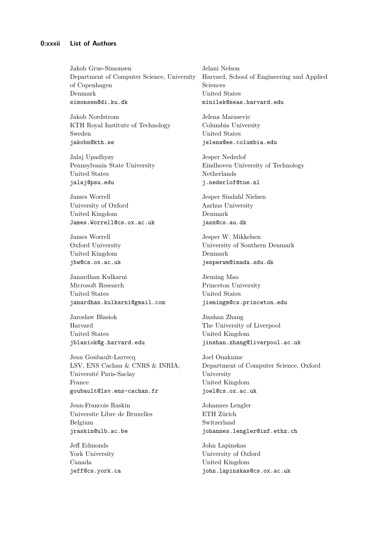#### **0:xxxii List of Authors**

Jakob Grue-Simonsen Department of Computer Science, University of Copenhagen Denmark simonsen@di.ku.dk

Jakob Nordstrom KTH Royal Institute of Technology Sweden jakobn@kth.se

Jalaj Upadhyay Pennsylvania State University United States jalaj@psu.edu

James Worrell University of Oxford United Kingdom James.Worrell@cs.ox.ac.uk

James Worrell Oxford University United Kingdom jbw@cs.ox.ac.uk

Janardhan Kulkarni Microsoft Research United States janardhan.kulkarni@gmail.com

Jaroslaw Blasiok Harvard United States jblasiok@g.harvard.edu

Jean Goubault-Larrecq LSV, ENS Cachan & CNRS & INRIA, Université Paris-Saclay France goubault@lsv.ens-cachan.fr

Jean-Francois Raskin Universite Libre de Bruxelles Belgium jraskin@ulb.ac.be

Jeff Edmonds York University Canada jeff@cs.york.ca

Jelani Nelson Harvard, School of Engineering and Applied Sciences United States minilek@seas.harvard.edu

Jelena Marasevic Columbia University United States jelena@ee.columbia.edu

Jesper Nederlof Eindhoven University of Technology Netherlands j.nederlof@tue.nl

Jesper Sindahl Nielsen Aarhus University Denmark jasn@cs.au.dk

Jesper W. Mikkelsen University of Southern Denmark Denmark jesperwm@imada.sdu.dk

Jieming Mao Princeton University United States jiemingm@cs.princeton.edu

Jinshan Zhang The University of Liverpool United Kingdom jinshan.zhang@liverpool.ac.uk

Joel Ouaknine Department of Computer Science, Oxford University United Kingdom joel@cs.ox.ac.uk

Johannes Lengler ETH Zürich Switzerland johannes.lengler@inf.ethz.ch

John Lapinskas University of Oxford United Kingdom john.lapinskas@cs.ox.ac.uk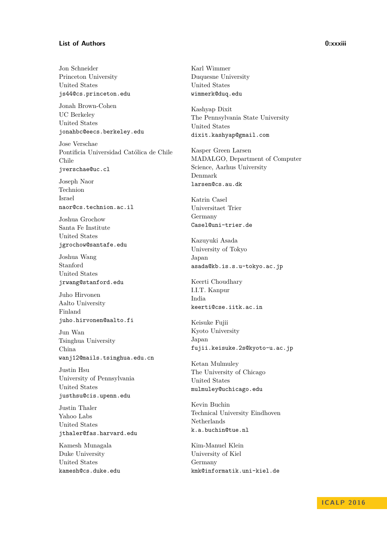#### **List of Authors 0:xxxiii**

Jon Schneider Princeton University United States js44@cs.princeton.edu

Jonah Brown-Cohen UC Berkeley United States jonahbc@eecs.berkeley.edu

Jose Verschae Pontificia Universidad Católica de Chile Chile jverschae@uc.cl

Joseph Naor Technion Israel naor@cs.technion.ac.il

Joshua Grochow Santa Fe Institute United States jgrochow@santafe.edu

Joshua Wang Stanford United States jrwang@stanford.edu

Juho Hirvonen Aalto University Finland juho.hirvonen@aalto.fi

Jun Wan Tsinghua University China wanj12@mails.tsinghua.edu.cn

Justin Hsu University of Pennsylvania United States justhsu@cis.upenn.edu

Justin Thaler Yahoo Labs United States jthaler@fas.harvard.edu

Kamesh Munagala Duke University United States kamesh@cs.duke.edu Karl Wimmer Duquesne University United States wimmerk@duq.edu

Kashyap Dixit The Pennsylvania State University United States dixit.kashyap@gmail.com

Kasper Green Larsen MADALGO, Department of Computer Science, Aarhus University Denmark larsen@cs.au.dk

Katrin Casel Universitaet Trier Germany Casel@uni-trier.de

Kazuyuki Asada University of Tokyo Japan asada@kb.is.s.u-tokyo.ac.jp

Keerti Choudhary I.I.T. Kanpur India keerti@cse.iitk.ac.in

Keisuke Fujii Kyoto University Japan fujii.keisuke.2s@kyoto-u.ac.jp

Ketan Mulmuley The University of Chicago United States mulmuley@uchicago.edu

Kevin Buchin Technical University Eindhoven Netherlands k.a.buchin@tue.nl

Kim-Manuel Klein University of Kiel Germany kmk@informatik.uni-kiel.de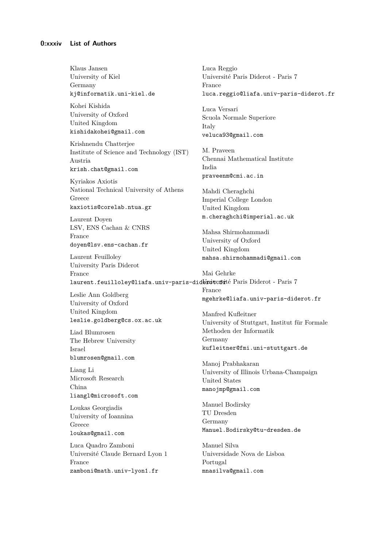Klaus Jansen University of Kiel Germany kj@informatik.uni-kiel.de

Kohei Kishida University of Oxford United Kingdom kishidakohei@gmail.com

Krishnendu Chatterjee Institute of Science and Technology (IST) Austria krish.chat@gmail.com

Kyriakos Axiotis National Technical University of Athens Greece kaxiotis@corelab.ntua.gr

Laurent Doyen LSV, ENS Cachan & CNRS France doyen@lsv.ens-cachan.fr

Laurent Feuilloley University Paris Diderot

France laurent.feuilloley@liafa.univ-paris-did**broversi**té Paris Diderot - Paris 7 Mai Gehrke

Leslie Ann Goldberg University of Oxford United Kingdom leslie.goldberg@cs.ox.ac.uk

Liad Blumrosen The Hebrew University Israel blumrosen@gmail.com

Liang Li Microsoft Research China liangl@microsoft.com

Loukas Georgiadis University of Ioannina Greece loukas@gmail.com

Luca Quadro Zamboni Université Claude Bernard Lyon 1 France zamboni@math.univ-lyon1.fr

Luca Reggio Université Paris Diderot - Paris 7 France luca.reggio@liafa.univ-paris-diderot.fr

Luca Versari Scuola Normale Superiore Italy veluca93@gmail.com

M. Praveen Chennai Mathematical Institute India praveenm@cmi.ac.in

Mahdi Cheraghchi Imperial College London United Kingdom m.cheraghchi@imperial.ac.uk

Mahsa Shirmohammadi University of Oxford United Kingdom mahsa.shirmohammadi@gmail.com

France mgehrke@liafa.univ-paris-diderot.fr

Manfred Kufleitner University of Stuttgart, Institut für Formale Methoden der Informatik Germany kufleitner@fmi.uni-stuttgart.de

Manoj Prabhakaran University of Illinois Urbana-Champaign United States manojmp@gmail.com

Manuel Bodirsky TU Dresden Germany Manuel.Bodirsky@tu-dresden.de

Manuel Silva Universidade Nova de Lisboa Portugal mnasilva@gmail.com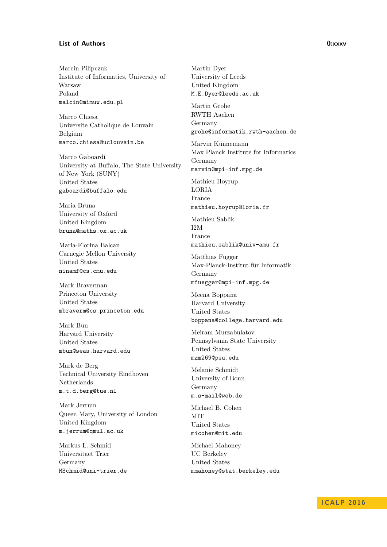#### List of Authors **0:xxxv**

Marcin Pilipczuk Institute of Informatics, University of Warsaw Poland malcin@mimuw.edu.pl

Marco Chiesa Universite Catholique de Louvain Belgium marco.chiesa@uclouvain.be

Marco Gaboardi University at Buffalo, The State University of New York (SUNY) United States gaboardi@buffalo.edu

Maria Bruna University of Oxford United Kingdom bruna@maths.ox.ac.uk

Maria-Florina Balcan Carnegie Mellon University United States ninamf@cs.cmu.edu

Mark Braverman Princeton University United States mbraverm@cs.princeton.edu

Mark Bun Harvard University United States mbun@seas.harvard.edu

Mark de Berg Technical University Eindhoven Netherlands m.t.d.berg@tue.nl

Mark Jerrum Queen Mary, University of London United Kingdom m.jerrum@qmul.ac.uk

Markus L. Schmid Universitaet Trier Germany MSchmid@uni-trier.de Martin Dyer University of Leeds United Kingdom M.E.Dyer@leeds.ac.uk

Martin Grohe RWTH Aachen Germany grohe@informatik.rwth-aachen.de

Marvin Künnemann Max Planck Institute for Informatics Germany marvin@mpi-inf.mpg.de

Mathieu Hoyrup LORIA France mathieu.hoyrup@loria.fr

Mathieu Sablik I2M France mathieu.sablik@univ-amu.fr

Matthias Függer Max-Planck-Institut für Informatik Germany mfuegger@mpi-inf.mpg.de

Meena Boppana Harvard University United States boppana@college.harvard.edu

Meiram Murzabulatov Pennsylvania State University United States mzm269@psu.edu

Melanie Schmidt University of Bonn Germany m.s-mail@web.de

Michael B. Cohen MIT United States micohen@mit.edu

Michael Mahoney UC Berkeley United States mmahoney@stat.berkeley.edu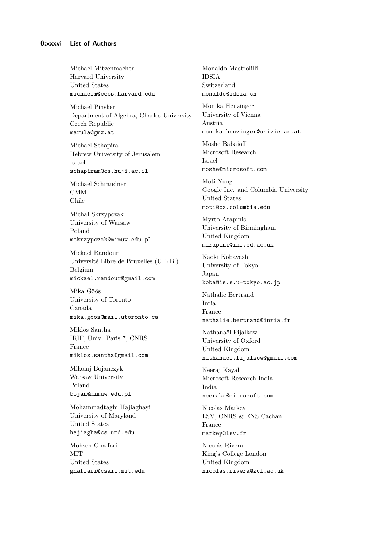Michael Mitzenmacher Harvard University United States michaelm@eecs.harvard.edu

Michael Pinsker Department of Algebra, Charles University Czech Republic marula@gmx.at

Michael Schapira Hebrew University of Jerusalem Israel schapiram@cs.huji.ac.il

Michael Schraudner CMM Chile

Michał Skrzypczak University of Warsaw Poland mskrzypczak@mimuw.edu.pl

Mickael Randour Université Libre de Bruxelles (U.L.B.) Belgium mickael.randour@gmail.com

Mika Göös University of Toronto Canada mika.goos@mail.utoronto.ca

Miklos Santha IRIF, Univ. Paris 7, CNRS France miklos.santha@gmail.com

Mikolaj Bojanczyk Warsaw University Poland bojan@mimuw.edu.pl

Mohammadtaghi Hajiaghayi University of Maryland United States hajiagha@cs.umd.edu

Mohsen Ghaffari **MIT** United States ghaffari@csail.mit.edu Monaldo Mastrolilli IDSIA Switzerland monaldo@idsia.ch

Monika Henzinger University of Vienna Austria monika.henzinger@univie.ac.at

Moshe Babaioff Microsoft Research Israel moshe@microsoft.com

Moti Yung Google Inc. and Columbia University United States moti@cs.columbia.edu

Myrto Arapinis University of Birmingham United Kingdom marapini@inf.ed.ac.uk

Naoki Kobayashi University of Tokyo Japan koba@is.s.u-tokyo.ac.jp

Nathalie Bertrand Inria France nathalie.bertrand@inria.fr

Nathanaël Fijalkow University of Oxford United Kingdom nathanael.fijalkow@gmail.com

Neeraj Kayal Microsoft Research India India neeraka@microsoft.com

Nicolas Markey LSV, CNRS & ENS Cachan France markey@lsv.fr

Nicolás Rivera King's College London United Kingdom nicolas.rivera@kcl.ac.uk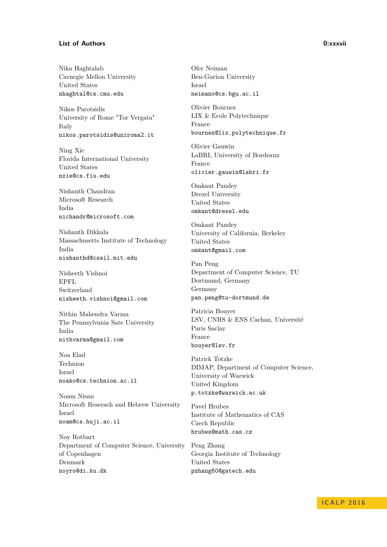#### **List of Authors 0:xxxvii**

Nika Haghtalab Carnegie Mellon University United States nhaghtal@cs.cmu.edu

Nikos Parotsidis University of Rome "Tor Vergata" Italy nikos.parotsidis@uniroma2.it

Ning Xie Florida International University United States nxie@cs.fiu.edu

Nishanth Chandran Microsoft Research India nichandr@microsoft.com

Nishanth Dikkala Massachusetts Institute of Technology India nishanthd@csail.mit.edu

Nisheeth Vishnoi EPFL Switzerland nisheeth.vishnoi@gmail.com

Nithin Mahendra Varma The Pennsylvania Sate University India nithvarma@gmail.com

Noa Elad Technion Israel noako@cs.technion.ac.il

Noam Nisan Microsoft Reserach and Hebrew University Israel noam@cs.huji.ac.il

Noy Rotbart Department of Computer Science, University of Copenhagen Denmark noyro@di.ku.dk

Ofer Neiman Ben-Gurion University Israel neimano@cs.bgu.ac.il

Olivier Bournez LIX & Ecole Polytechnique France bournez@lix.polytechnique.fr

Olivier Gauwin LaBRI, University of Bordeaux France olivier.gauwin@labri.fr

Omkant Pandey Drexel University United States omkant@drexel.edu

Omkant Pandey University of California, Berkeley United States omkant@gmail.com

Pan Peng Department of Computer Science, TU Dortmund, Germany Germany pan.peng@tu-dortmund.de

Patricia Bouyer LSV, CNRS & ENS Cachan, Université Paris Saclay France bouyer@lsv.fr

Patrick Totzke DIMAP, Department of Computer Science, University of Warwick United Kingdom p.totzke@warwick.ac.uk

Pavel Hrubes Institute of Mathematics of CAS Czech Republic hrubes@math.cas.cz

Peng Zhang Georgia Institute of Technology United States pzhang60@gatech.edu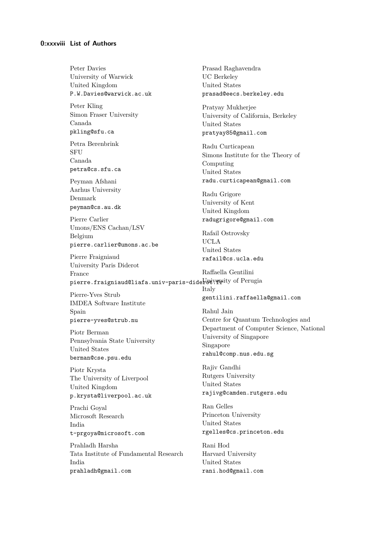Peter Davies University of Warwick United Kingdom P.W.Davies@warwick.ac.uk

Peter Kling Simon Fraser University Canada pkling@sfu.ca

Petra Berenbrink **SFU** Canada petra@cs.sfu.ca

Peyman Afshani Aarhus University Denmark peyman@cs.au.dk

Pierre Carlier Umons/ENS Cachan/LSV Belgium pierre.carlier@umons.ac.be

Pierre Fraigniaud University Paris Diderot France

Pierre-Yves Strub IMDEA Software Institute Spain pierre-yves@strub.nu

Piotr Berman Pennsylvania State University United States berman@cse.psu.edu

Piotr Krysta The University of Liverpool United Kingdom p.krysta@liverpool.ac.uk

Prachi Goyal Microsoft Research India t-prgoya@microsoft.com

Prahladh Harsha Tata Institute of Fundamental Research India prahladh@gmail.com

Prasad Raghavendra UC Berkeley United States prasad@eecs.berkeley.edu

Pratyay Mukherjee University of California, Berkeley United States pratyay85@gmail.com

Radu Curticapean Simons Institute for the Theory of Computing United States radu.curticapean@gmail.com

Radu Grigore University of Kent United Kingdom radugrigore@gmail.com

Rafail Ostrovsky UCLA United States rafail@cs.ucla.edu

pierre.fraigniaud@liafa.univ-paris-dideYoniyasity of Perugia Raffaella Gentilini Italy gentilini.raffaella@gmail.com

> Rahul Jain Centre for Quantum Technologies and Department of Computer Science, National University of Singapore Singapore rahul@comp.nus.edu.sg

Rajiv Gandhi Rutgers University United States rajivg@camden.rutgers.edu

Ran Gelles Princeton University United States rgelles@cs.princeton.edu

Rani Hod Harvard University United States rani.hod@gmail.com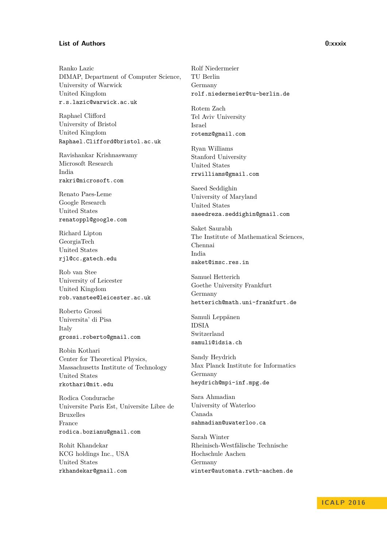#### List of Authors 0:xxxix

Ranko Lazic DIMAP, Department of Computer Science, University of Warwick United Kingdom r.s.lazic@warwick.ac.uk

Raphael Clifford University of Bristol United Kingdom Raphael.Clifford@bristol.ac.uk

Ravishankar Krishnaswamy Microsoft Research India rakri@microsoft.com

Renato Paes-Leme Google Research United States renatoppl@google.com

Richard Lipton GeorgiaTech United States rjl@cc.gatech.edu

Rob van Stee University of Leicester United Kingdom rob.vanstee@leicester.ac.uk

Roberto Grossi Universita' di Pisa Italy grossi.roberto@gmail.com

Robin Kothari Center for Theoretical Physics, Massachusetts Institute of Technology United States rkothari@mit.edu

Rodica Condurache Universite Paris Est, Universite Libre de Bruxelles France rodica.bozianu@gmail.com

Rohit Khandekar KCG holdings Inc., USA United States rkhandekar@gmail.com

Rolf Niedermeier TU Berlin Germany rolf.niedermeier@tu-berlin.de

Rotem Zach Tel Aviv University Israel rotemz@gmail.com

Ryan Williams Stanford University United States rrwilliams@gmail.com

Saeed Seddighin University of Maryland United States saeedreza.seddighin@gmail.com

Saket Saurabh The Institute of Mathematical Sciences, Chennai India saket@imsc.res.in

Samuel Hetterich Goethe University Frankfurt Germany hetterich@math.uni-frankfurt.de

Samuli Leppänen IDSIA Switzerland samuli@idsia.ch

Sandy Heydrich Max Planck Institute for Informatics Germany heydrich@mpi-inf.mpg.de

Sara Ahmadian University of Waterloo Canada sahmadian@uwaterloo.ca

Sarah Winter Rheinisch-Westfälische Technische Hochschule Aachen Germany winter@automata.rwth-aachen.de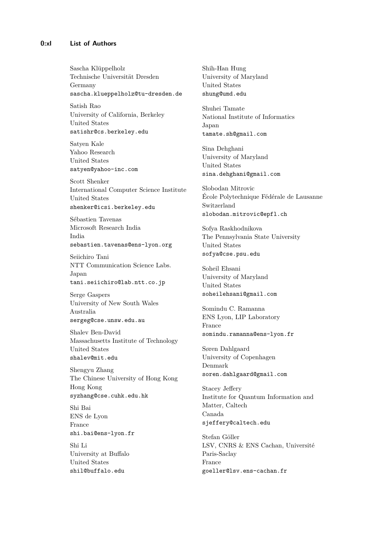Sascha Klüppelholz Technische Universität Dresden Germany sascha.klueppelholz@tu-dresden.de

Satish Rao University of California, Berkeley United States satishr@cs.berkeley.edu

Satyen Kale Yahoo Research United States satyen@yahoo-inc.com

Scott Shenker International Computer Science Institute United States shenker@icsi.berkeley.edu

Sébastien Tavenas Microsoft Research India India sebastien.tavenas@ens-lyon.org

Seiichiro Tani NTT Communication Science Labs. Japan tani.seiichiro@lab.ntt.co.jp

Serge Gaspers University of New South Wales Australia sergeg@cse.unsw.edu.au

Shalev Ben-David Massachusetts Institute of Technology United States shalev@mit.edu

Shengyu Zhang The Chinese University of Hong Kong Hong Kong syzhang@cse.cuhk.edu.hk

Shi Bai ENS de Lyon France shi.bai@ens-lyon.fr

Shi Li University at Buffalo United States shil@buffalo.edu

Shih-Han Hung University of Maryland United States shung@umd.edu

Shuhei Tamate National Institute of Informatics Japan tamate.sh@gmail.com

Sina Dehghani University of Maryland United States sina.dehghani@gmail.com

Slobodan Mitrovic École Polytechnique Fédérale de Lausanne Switzerland slobodan.mitrovic@epfl.ch

Sofya Raskhodnikova The Pennsylvania State University United States sofya@cse.psu.edu

Soheil Ehsani University of Maryland United States soheilehsani@gmail.com

Somindu C. Ramanna ENS Lyon, LIP Laboratory France somindu.ramanna@ens-lyon.fr

Søren Dahlgaard University of Copenhagen Denmark soren.dahlgaard@gmail.com

Stacey Jeffery Institute for Quantum Information and Matter, Caltech Canada sjeffery@caltech.edu

Stefan Göller LSV, CNRS & ENS Cachan, Université Paris-Saclay France goeller@lsv.ens-cachan.fr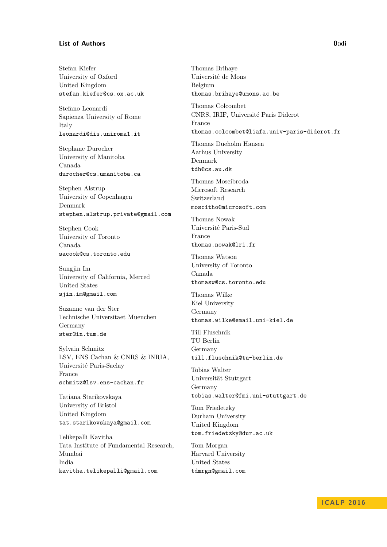#### **List of Authors 0:xli**

Stefan Kiefer University of Oxford United Kingdom stefan.kiefer@cs.ox.ac.uk

Stefano Leonardi Sapienza University of Rome Italy leonardi@dis.uniroma1.it

Stephane Durocher University of Manitoba Canada durocher@cs.umanitoba.ca

Stephen Alstrup University of Copenhagen Denmark stephen.alstrup.private@gmail.com

Stephen Cook University of Toronto Canada sacook@cs.toronto.edu

Sungjin Im University of California, Merced United States sjin.im@gmail.com

Suzanne van der Ster Technische Universitaet Muenchen Germany ster@in.tum.de

Sylvain Schmitz LSV, ENS Cachan & CNRS & INRIA, Université Paris-Saclay France schmitz@lsv.ens-cachan.fr

Tatiana Starikovskaya University of Bristol United Kingdom tat.starikovskaya@gmail.com

Telikepalli Kavitha Tata Institute of Fundamental Research, Mumbai India kavitha.telikepalli@gmail.com

Thomas Brihaye Université de Mons Belgium thomas.brihaye@umons.ac.be

Thomas Colcombet CNRS, IRIF, Université Paris Diderot France thomas.colcombet@liafa.univ-paris-diderot.fr

Thomas Dueholm Hansen Aarhus University Denmark tdh@cs.au.dk

Thomas Moscibroda Microsoft Research Switzerland moscitho@microsoft.com

Thomas Nowak Université Paris-Sud France thomas.nowak@lri.fr

Thomas Watson University of Toronto Canada thomasw@cs.toronto.edu

Thomas Wilke Kiel University Germany thomas.wilke@email.uni-kiel.de

Till Fluschnik TU Berlin Germany till.fluschnik@tu-berlin.de

Tobias Walter Universität Stuttgart Germany tobias.walter@fmi.uni-stuttgart.de

Tom Friedetzky Durham University United Kingdom tom.friedetzky@dur.ac.uk

Tom Morgan Harvard University United States tdmrgn@gmail.com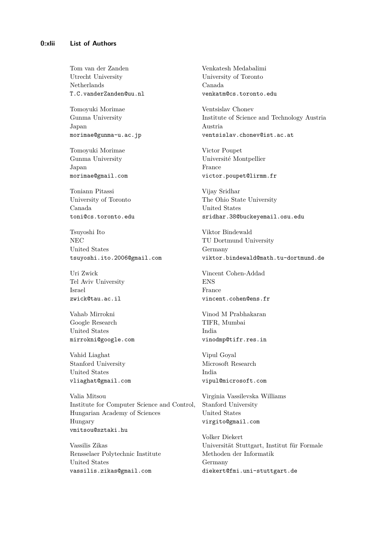Tom van der Zanden Utrecht University Netherlands T.C.vanderZanden@uu.nl

Tomoyuki Morimae Gunma University Japan morimae@gunma-u.ac.jp

Tomoyuki Morimae Gunma University Japan morimae@gmail.com

Toniann Pitassi University of Toronto Canada toni@cs.toronto.edu

Tsuyoshi Ito NEC United States tsuyoshi.ito.2006@gmail.com

Uri Zwick Tel Aviv University Israel zwick@tau.ac.il

Vahab Mirrokni Google Research United States mirrokni@google.com

Vahid Liaghat Stanford University United States vliaghat@gmail.com

Valia Mitsou Institute for Computer Science and Control, Hungarian Academy of Sciences Hungary vmitsou@sztaki.hu

Vassilis Zikas Rensselaer Polytechnic Institute United States vassilis.zikas@gmail.com

Venkatesh Medabalimi University of Toronto Canada venkatm@cs.toronto.edu

Ventsislav Chonev Institute of Science and Technology Austria Austria ventsislav.chonev@ist.ac.at

Victor Poupet Université Montpellier France victor.poupet@lirmm.fr

Vijay Sridhar The Ohio State University United States sridhar.38@buckeyemail.osu.edu

Viktor Bindewald TU Dortmund University Germany viktor.bindewald@math.tu-dortmund.de

Vincent Cohen-Addad ENS France vincent.cohen@ens.fr

Vinod M Prabhakaran TIFR, Mumbai India vinodmp@tifr.res.in

Vipul Goyal Microsoft Research India vipul@microsoft.com

Virginia Vassilevska Williams Stanford University United States virgito@gmail.com

Volker Diekert Universität Stuttgart, Institut für Formale Methoden der Informatik Germany diekert@fmi.uni-stuttgart.de